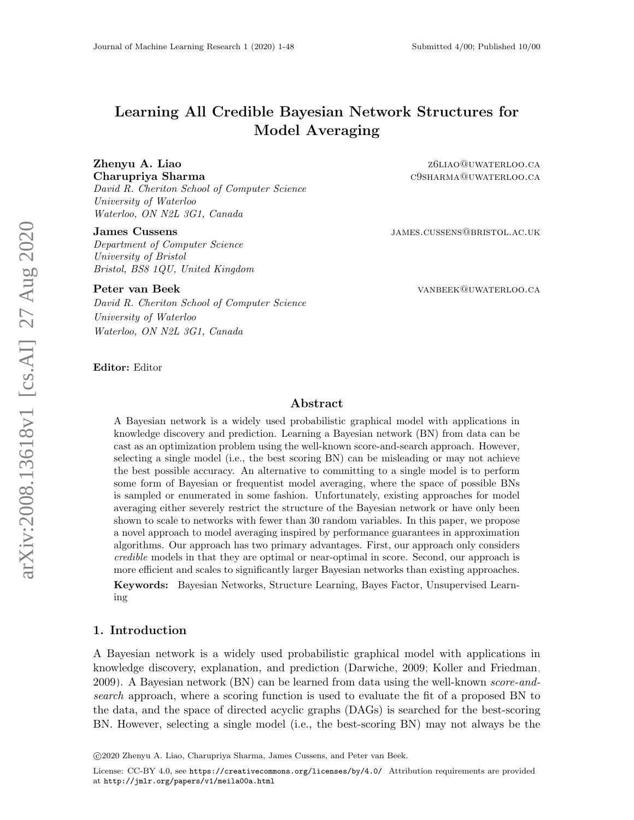# Learning All Credible Bayesian Network Structures for Model Averaging

David R. Cheriton School of Computer Science University of Waterloo Waterloo, ON N2L 3G1, Canada

Department of Computer Science University of Bristol Bristol, BS8 1QU, United Kingdom

David R. Cheriton School of Computer Science University of Waterloo Waterloo, ON N2L 3G1, Canada

**Zhenyu A. Liao 26 Anisotropy A. Liao 26 Anisotropy 26 Anisotropy A. Liao 26 Anisotropy 26 Anisotropy 26 Anisotropy 26 Anisotropy 26 Anisotropy 26 Anisotropy 26 Anisotropy 26 Anisotropy 26 Anisotropy 26 Anisotropy 26 Aniso** Charupriya Sharma c9SHARMA@UWATERLOO.CA

**James Cussens JAMES.CUSSENS@BRISTOL.AC.UK** 

Peter van Beek van beek van beek van beek van beek van beek van beek van beek van beek van beek van beek van b

#### Editor: Editor

## Abstract

A Bayesian network is a widely used probabilistic graphical model with applications in knowledge discovery and prediction. Learning a Bayesian network (BN) from data can be cast as an optimization problem using the well-known score-and-search approach. However, selecting a single model (i.e., the best scoring BN) can be misleading or may not achieve the best possible accuracy. An alternative to committing to a single model is to perform some form of Bayesian or frequentist model averaging, where the space of possible BNs is sampled or enumerated in some fashion. Unfortunately, existing approaches for model averaging either severely restrict the structure of the Bayesian network or have only been shown to scale to networks with fewer than 30 random variables. In this paper, we propose a novel approach to model averaging inspired by performance guarantees in approximation algorithms. Our approach has two primary advantages. First, our approach only considers credible models in that they are optimal or near-optimal in score. Second, our approach is more efficient and scales to significantly larger Bayesian networks than existing approaches.

Keywords: Bayesian Networks, Structure Learning, Bayes Factor, Unsupervised Learning

#### 1. Introduction

A Bayesian network is a widely used probabilistic graphical model with applications in knowledge discovery, explanation, and prediction [\(Darwiche, 2009;](#page-22-0) [Koller and Friedman,](#page-23-0) [2009\)](#page-23-0). A Bayesian network (BN) can be learned from data using the well-known *score-and*search approach, where a scoring function is used to evaluate the fit of a proposed BN to the data, and the space of directed acyclic graphs (DAGs) is searched for the best-scoring BN. However, selecting a single model (i.e., the best-scoring BN) may not always be the

c 2020 Zhenyu A. Liao, Charupriya Sharma, James Cussens, and Peter van Beek.

License: CC-BY 4.0, see <https://creativecommons.org/licenses/by/4.0/>. Attribution requirements are provided at <http://jmlr.org/papers/v1/meila00a.html>.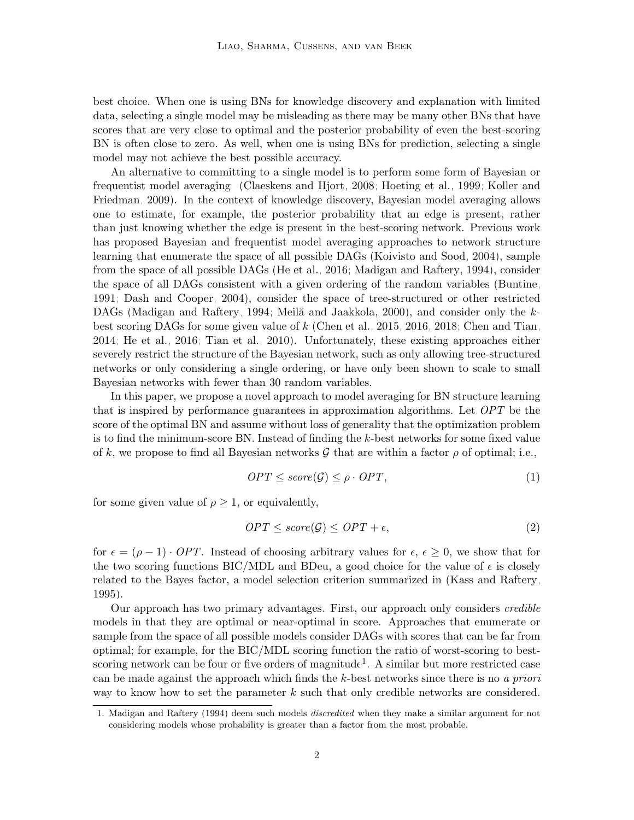best choice. When one is using BNs for knowledge discovery and explanation with limited data, selecting a single model may be misleading as there may be many other BNs that have scores that are very close to optimal and the posterior probability of even the best-scoring BN is often close to zero. As well, when one is using BNs for prediction, selecting a single model may not achieve the best possible accuracy.

An alternative to committing to a single model is to perform some form of Bayesian or frequentist model averaging [\(Claeskens and Hjort, 2008;](#page-22-1) [Hoeting et al., 1999;](#page-23-1) [Koller and](#page-23-0) [Friedman, 2009\)](#page-23-0). In the context of knowledge discovery, Bayesian model averaging allows one to estimate, for example, the posterior probability that an edge is present, rather than just knowing whether the edge is present in the best-scoring network. Previous work has proposed Bayesian and frequentist model averaging approaches to network structure learning that enumerate the space of all possible DAGs [\(Koivisto and Sood, 2004\)](#page-23-2), sample from the space of all possible DAGs [\(He et al., 2016;](#page-22-2) [Madigan and Raftery, 1994\)](#page-23-3), consider the space of all DAGs consistent with a given ordering of the random variables [\(Buntine,](#page-21-0) [1991;](#page-21-0) [Dash and Cooper, 2004\)](#page-22-3), consider the space of tree-structured or other restricted DAGs [\(Madigan and Raftery, 1994;](#page-23-3) Meilă and Jaakkola, 2000), and consider only the  $k$ best scoring DAGs for some given value of k [\(Chen et al., 2015,](#page-22-4) [2016,](#page-22-5) [2018;](#page-22-6) [Chen and Tian,](#page-22-7) [2014;](#page-22-7) [He et al., 2016;](#page-22-2) [Tian et al., 2010\)](#page-23-5). Unfortunately, these existing approaches either severely restrict the structure of the Bayesian network, such as only allowing tree-structured networks or only considering a single ordering, or have only been shown to scale to small Bayesian networks with fewer than 30 random variables.

In this paper, we propose a novel approach to model averaging for BN structure learning that is inspired by performance guarantees in approximation algorithms. Let OPT be the score of the optimal BN and assume without loss of generality that the optimization problem is to find the minimum-score BN. Instead of finding the k-best networks for some fixed value of k, we propose to find all Bayesian networks G that are within a factor  $\rho$  of optimal; i.e.,

$$
OPT \leq score(\mathcal{G}) \leq \rho \cdot OPT,\tag{1}
$$

for some given value of  $\rho \geq 1$ , or equivalently,

$$
OPT \leq score(\mathcal{G}) \leq OPT + \epsilon,\tag{2}
$$

for  $\epsilon = (\rho - 1) \cdot OPT$ . Instead of choosing arbitrary values for  $\epsilon, \epsilon \geq 0$ , we show that for the two scoring functions BIC/MDL and BDeu, a good choice for the value of  $\epsilon$  is closely related to the Bayes factor, a model selection criterion summarized in [\(Kass and Raftery,](#page-23-6) [1995\)](#page-23-6).

Our approach has two primary advantages. First, our approach only considers credible models in that they are optimal or near-optimal in score. Approaches that enumerate or sample from the space of all possible models consider DAGs with scores that can be far from optimal; for example, for the BIC/MDL scoring function the ratio of worst-scoring to best-scoring network can be four or five orders of magnitude<sup>[1](#page-1-0)</sup>. A similar but more restricted case can be made against the approach which finds the  $k$ -best networks since there is no a priori way to know how to set the parameter k such that only credible networks are considered.

<span id="page-1-0"></span><sup>1.</sup> [Madigan and Raftery](#page-23-3) [\(1994\)](#page-23-3) deem such models discredited when they make a similar argument for not considering models whose probability is greater than a factor from the most probable.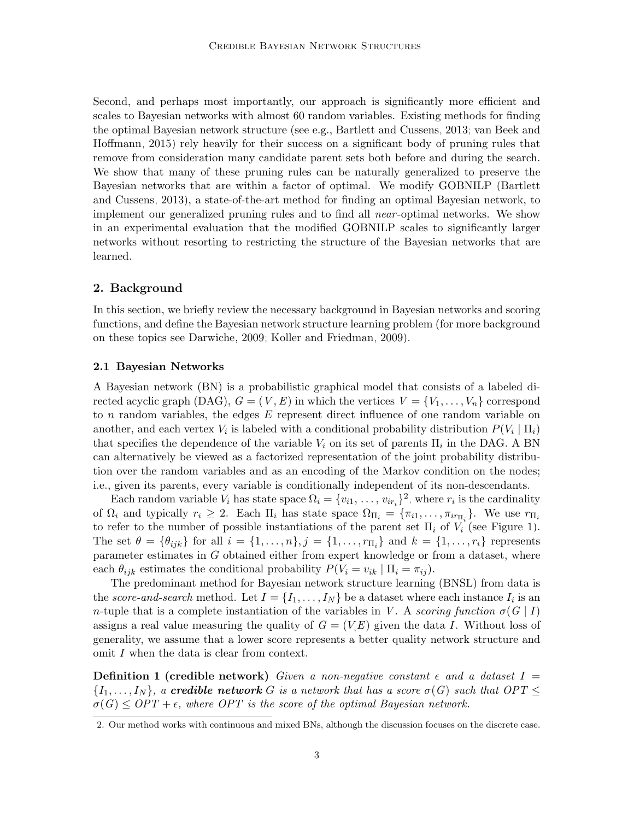Second, and perhaps most importantly, our approach is significantly more efficient and scales to Bayesian networks with almost 60 random variables. Existing methods for finding the optimal Bayesian network structure (see e.g., [Bartlett and Cussens, 2013;](#page-21-1) [van Beek and](#page-23-7) [Hoffmann, 2015\)](#page-23-7) rely heavily for their success on a significant body of pruning rules that remove from consideration many candidate parent sets both before and during the search. We show that many of these pruning rules can be naturally generalized to preserve the Bayesian networks that are within a factor of optimal. We modify GOBNILP [\(Bartlett](#page-21-1) [and Cussens, 2013\)](#page-21-1), a state-of-the-art method for finding an optimal Bayesian network, to implement our generalized pruning rules and to find all near -optimal networks. We show in an experimental evaluation that the modified GOBNILP scales to significantly larger networks without resorting to restricting the structure of the Bayesian networks that are learned.

### 2. Background

In this section, we briefly review the necessary background in Bayesian networks and scoring functions, and define the Bayesian network structure learning problem (for more background on these topics see [Darwiche, 2009;](#page-22-0) [Koller and Friedman, 2009\)](#page-23-0).

#### 2.1 Bayesian Networks

A Bayesian network (BN) is a probabilistic graphical model that consists of a labeled directed acyclic graph (DAG),  $G = (V, E)$  in which the vertices  $V = \{V_1, \ldots, V_n\}$  correspond to n random variables, the edges  $E$  represent direct influence of one random variable on another, and each vertex  $V_i$  is labeled with a conditional probability distribution  $P(V_i | \Pi_i)$ that specifies the dependence of the variable  $V_i$  on its set of parents  $\Pi_i$  in the DAG. A BN can alternatively be viewed as a factorized representation of the joint probability distribution over the random variables and as an encoding of the Markov condition on the nodes; i.e., given its parents, every variable is conditionally independent of its non-descendants.

Each random variable  $V_i$  has state space  $\Omega_i = \{v_{i1}, \ldots, v_{ir_i}\}^2$  $\Omega_i = \{v_{i1}, \ldots, v_{ir_i}\}^2$ , where  $r_i$  is the cardinality of  $\Omega_i$  and typically  $r_i \geq 2$ . Each  $\Pi_i$  has state space  $\Omega_{\Pi_i} = {\pi_{i1}, \dots, \pi_{ir_{\Pi_i}}}$ . We use  $r_{\Pi_i}$ to refer to the number of possible instantiations of the parent set  $\Pi_i$  of  $V_i$  (see Figure [1\)](#page-3-0). The set  $\theta = \{\theta_{ijk}\}\$ for all  $i = \{1, \ldots, n\}, j = \{1, \ldots, r_{\Pi_i}\}\$ and  $k = \{1, \ldots, r_i\}\$ represents parameter estimates in G obtained either from expert knowledge or from a dataset, where each  $\theta_{ijk}$  estimates the conditional probability  $P(V_i = v_{ik} | \Pi_i = \pi_{ij}).$ 

The predominant method for Bayesian network structure learning (BNSL) from data is the score-and-search method. Let  $I = \{I_1, \ldots, I_N\}$  be a dataset where each instance  $I_i$  is an n-tuple that is a complete instantiation of the variables in V. A scoring function  $\sigma(G | I)$ assigns a real value measuring the quality of  $G = (VE)$  given the data I. Without loss of generality, we assume that a lower score represents a better quality network structure and omit I when the data is clear from context.

**Definition 1 (credible network)** Given a non-negative constant  $\epsilon$  and a dataset  $I =$  ${I_1,\ldots,I_N}$ , a credible network G is a network that has a score  $\sigma(G)$  such that  $OPT \leq$  $\sigma(G) \leq OPT + \epsilon$ , where OPT is the score of the optimal Bayesian network.

<span id="page-2-0"></span><sup>2.</sup> Our method works with continuous and mixed BNs, although the discussion focuses on the discrete case.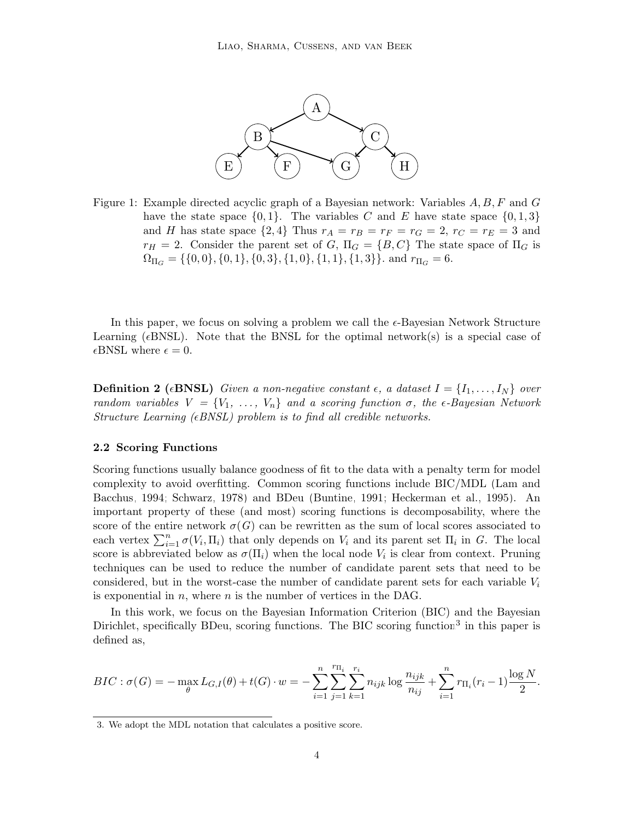

<span id="page-3-0"></span>Figure 1: Example directed acyclic graph of a Bayesian network: Variables  $A, B, F$  and  $G$ have the state space  $\{0, 1\}$ . The variables C and E have state space  $\{0, 1, 3\}$ and H has state space  $\{2,4\}$  Thus  $r_A = r_B = r_F = r_G = 2, r_C = r_E = 3$  and  $r_H = 2$ . Consider the parent set of G,  $\Pi_G = \{B, C\}$  The state space of  $\Pi_G$  is  $\Omega_{\Pi_G} = \{ \{0, 0\}, \{0, 1\}, \{0, 3\}, \{1, 0\}, \{1, 1\}, \{1, 3\} \}.$  and  $r_{\Pi_G} = 6$ .

In this paper, we focus on solving a problem we call the  $\epsilon$ -Bayesian Network Structure Learning ( $\epsilon$ BNSL). Note that the BNSL for the optimal network(s) is a special case of  $\epsilon$ BNSL where  $\epsilon = 0$ .

**Definition 2** ( $\epsilon$ **BNSL)** Given a non-negative constant  $\epsilon$ , a dataset  $I = \{I_1, \ldots, I_N\}$  over random variables  $V = \{V_1, \ldots, V_n\}$  and a scoring function  $\sigma$ , the  $\epsilon$ -Bayesian Network Structure Learning ( $\epsilon$ BNSL) problem is to find all credible networks.

#### 2.2 Scoring Functions

Scoring functions usually balance goodness of fit to the data with a penalty term for model complexity to avoid overfitting. Common scoring functions include BIC/MDL [\(Lam and](#page-23-8) [Bacchus, 1994;](#page-23-8) [Schwarz, 1978\)](#page-23-9) and BDeu [\(Buntine, 1991;](#page-21-0) [Heckerman et al., 1995\)](#page-23-10). An important property of these (and most) scoring functions is decomposability, where the score of the entire network  $\sigma(G)$  can be rewritten as the sum of local scores associated to each vertex  $\sum_{i=1}^n \sigma(V_i, \Pi_i)$  that only depends on  $V_i$  and its parent set  $\Pi_i$  in G. The local score is abbreviated below as  $\sigma(\Pi_i)$  when the local node  $V_i$  is clear from context. Pruning techniques can be used to reduce the number of candidate parent sets that need to be considered, but in the worst-case the number of candidate parent sets for each variable  $V_i$ is exponential in  $n$ , where  $n$  is the number of vertices in the DAG.

In this work, we focus on the Bayesian Information Criterion (BIC) and the Bayesian Dirichlet, specifically BDeu, scoring functions. The BIC scoring function<sup>[3](#page-3-1)</sup> in this paper is defined as,

$$
BIC: \sigma(G) = -\max_{\theta} L_{G,I}(\theta) + t(G) \cdot w = -\sum_{i=1}^{n} \sum_{j=1}^{r_{\Pi_i}} \sum_{k=1}^{r_i} n_{ijk} \log \frac{n_{ijk}}{n_{ij}} + \sum_{i=1}^{n} r_{\Pi_i}(r_i - 1) \frac{\log N}{2}.
$$

<span id="page-3-1"></span><sup>3.</sup> We adopt the MDL notation that calculates a positive score.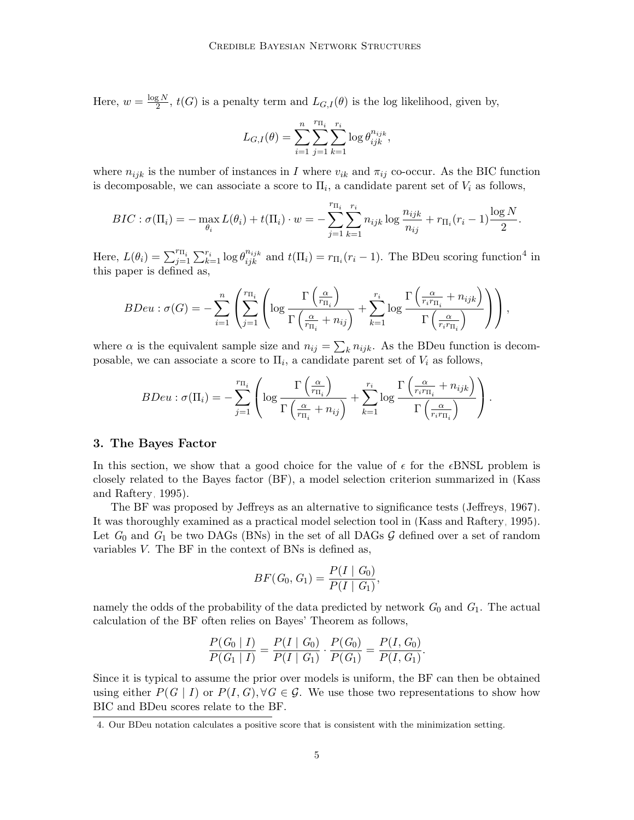Here,  $w = \frac{\log N}{2}$  $\frac{Z}{2}$ ,  $t(G)$  is a penalty term and  $L_{G,I}(\theta)$  is the log likelihood, given by,

$$
L_{G,I}(\theta) = \sum_{i=1}^{n} \sum_{j=1}^{r_{\Pi_i}} \sum_{k=1}^{r_i} \log \theta_{ijk}^{n_{ijk}},
$$

where  $n_{ijk}$  is the number of instances in I where  $v_{ik}$  and  $\pi_{ij}$  co-occur. As the BIC function is decomposable, we can associate a score to  $\Pi_i$ , a candidate parent set of  $V_i$  as follows,

$$
BIC : \sigma(\Pi_i) = -\max_{\theta_i} L(\theta_i) + t(\Pi_i) \cdot w = -\sum_{j=1}^{r_{\Pi_i}} \sum_{k=1}^{r_i} n_{ijk} \log \frac{n_{ijk}}{n_{ij}} + r_{\Pi_i}(r_i - 1) \frac{\log N}{2}.
$$

Here,  $L(\theta_i) = \sum_{j=1}^{r_{\Pi_i}} \sum_{k=1}^{r_i} \log \theta_{ijk}^{n_{ijk}}$  and  $t(\Pi_i) = r_{\Pi_i}(r_i - 1)$ . The BDeu scoring function<sup>[4](#page-4-0)</sup> in this paper is defined as,

$$
BDeu: \sigma(G) = -\sum_{i=1}^{n} \left( \sum_{j=1}^{r_{\Pi_i}} \left( \log \frac{\Gamma\left(\frac{\alpha}{r_{\Pi_i}}\right)}{\Gamma\left(\frac{\alpha}{r_{\Pi_i}} + n_{ij}\right)} + \sum_{k=1}^{r_i} \log \frac{\Gamma\left(\frac{\alpha}{r_i r_{\Pi_i}} + n_{ijk}\right)}{\Gamma\left(\frac{\alpha}{r_i r_{\Pi_i}}\right)} \right) \right),
$$

where  $\alpha$  is the equivalent sample size and  $n_{ij} = \sum_{k} n_{ijk}$ . As the BDeu function is decomposable, we can associate a score to  $\Pi_i$ , a candidate parent set of  $V_i$  as follows,

$$
BDeu: \sigma(\Pi_i) = -\sum_{j=1}^{r_{\Pi_i}} \left( \log \frac{\Gamma\left(\frac{\alpha}{r_{\Pi_i}}\right)}{\Gamma\left(\frac{\alpha}{r_{\Pi_i}} + n_{ij}\right)} + \sum_{k=1}^{r_i} \log \frac{\Gamma\left(\frac{\alpha}{r_i r_{\Pi_i}} + n_{ijk}\right)}{\Gamma\left(\frac{\alpha}{r_i r_{\Pi_i}}\right)} \right).
$$

#### 3. The Bayes Factor

In this section, we show that a good choice for the value of  $\epsilon$  for the  $\epsilon$ BNSL problem is closely related to the Bayes factor (BF), a model selection criterion summarized in [\(Kass](#page-23-6) [and Raftery, 1995\)](#page-23-6).

The BF was proposed by Jeffreys as an alternative to significance tests [\(Jeffreys, 1967\)](#page-23-11). It was thoroughly examined as a practical model selection tool in [\(Kass and Raftery, 1995\)](#page-23-6). Let  $G_0$  and  $G_1$  be two DAGs (BNs) in the set of all DAGs  $G$  defined over a set of random variables V. The BF in the context of BNs is defined as,

$$
BF(G_0, G_1) = \frac{P(I \mid G_0)}{P(I \mid G_1)},
$$

namely the odds of the probability of the data predicted by network  $G_0$  and  $G_1$ . The actual calculation of the BF often relies on Bayes' Theorem as follows,

$$
\frac{P(G_0 | I)}{P(G_1 | I)} = \frac{P(I | G_0)}{P(I | G_1)} \cdot \frac{P(G_0)}{P(G_1)} = \frac{P(I, G_0)}{P(I, G_1)}.
$$

Since it is typical to assume the prior over models is uniform, the BF can then be obtained using either  $P(G | I)$  or  $P(I, G), \forall G \in \mathcal{G}$ . We use those two representations to show how BIC and BDeu scores relate to the BF.

<span id="page-4-0"></span><sup>4.</sup> Our BDeu notation calculates a positive score that is consistent with the minimization setting.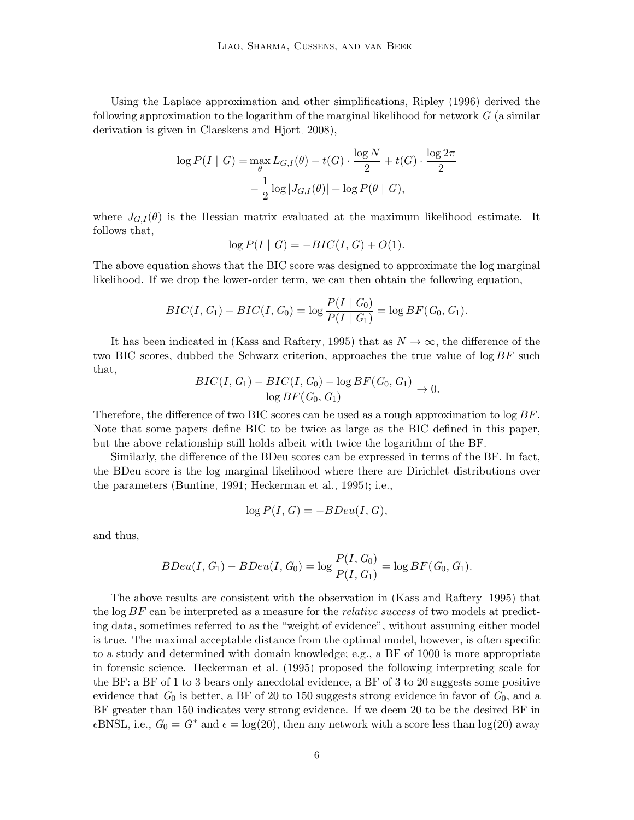Using the Laplace approximation and other simplifications, [Ripley \(1996\)](#page-23-12) derived the following approximation to the logarithm of the marginal likelihood for network  $G$  (a similar derivation is given in [Claeskens and Hjort, 2008\)](#page-22-1),

$$
\log P(I \mid G) = \max_{\theta} L_{G,I}(\theta) - t(G) \cdot \frac{\log N}{2} + t(G) \cdot \frac{\log 2\pi}{2}
$$

$$
- \frac{1}{2} \log |J_{G,I}(\theta)| + \log P(\theta \mid G),
$$

where  $J_{G,I}(\theta)$  is the Hessian matrix evaluated at the maximum likelihood estimate. It follows that,

$$
\log P(I \mid G) = -BIC(I, G) + O(1).
$$

The above equation shows that the BIC score was designed to approximate the log marginal likelihood. If we drop the lower-order term, we can then obtain the following equation,

$$
BIC(I, G_1) - BIC(I, G_0) = \log \frac{P(I \mid G_0)}{P(I \mid G_1)} = \log BF(G_0, G_1).
$$

It has been indicated in [\(Kass and Raftery, 1995\)](#page-23-6) that as  $N \to \infty$ , the difference of the two BIC scores, dubbed the Schwarz criterion, approaches the true value of  $\log BF$  such that,

$$
\frac{BIC(I, G_1) - BIC(I, G_0) - \log BF(G_0, G_1)}{\log BF(G_0, G_1)} \to 0.
$$

Therefore, the difference of two BIC scores can be used as a rough approximation to log BF. Note that some papers define BIC to be twice as large as the BIC defined in this paper, but the above relationship still holds albeit with twice the logarithm of the BF.

Similarly, the difference of the BDeu scores can be expressed in terms of the BF. In fact, the BDeu score is the log marginal likelihood where there are Dirichlet distributions over the parameters [\(Buntine, 1991;](#page-21-0) [Heckerman et al., 1995\)](#page-23-10); i.e.,

$$
\log P(I, G) = -BDeu(I, G),
$$

and thus,

$$
BDeu(I, G_1) - BDeu(I, G_0) = \log \frac{P(I, G_0)}{P(I, G_1)} = \log BF(G_0, G_1).
$$

The above results are consistent with the observation in [\(Kass and Raftery, 1995\)](#page-23-6) that the  $\log BF$  can be interpreted as a measure for the *relative success* of two models at predicting data, sometimes referred to as the "weight of evidence", without assuming either model is true. The maximal acceptable distance from the optimal model, however, is often specific to a study and determined with domain knowledge; e.g., a BF of 1000 is more appropriate in forensic science. [Heckerman et al. \(1995\)](#page-23-10) proposed the following interpreting scale for the BF: a BF of 1 to 3 bears only anecdotal evidence, a BF of 3 to 20 suggests some positive evidence that  $G_0$  is better, a BF of 20 to 150 suggests strong evidence in favor of  $G_0$ , and a BF greater than 150 indicates very strong evidence. If we deem 20 to be the desired BF in  $\epsilon$ BNSL, i.e.,  $G_0 = G^*$  and  $\epsilon = \log(20)$ , then any network with a score less than  $\log(20)$  away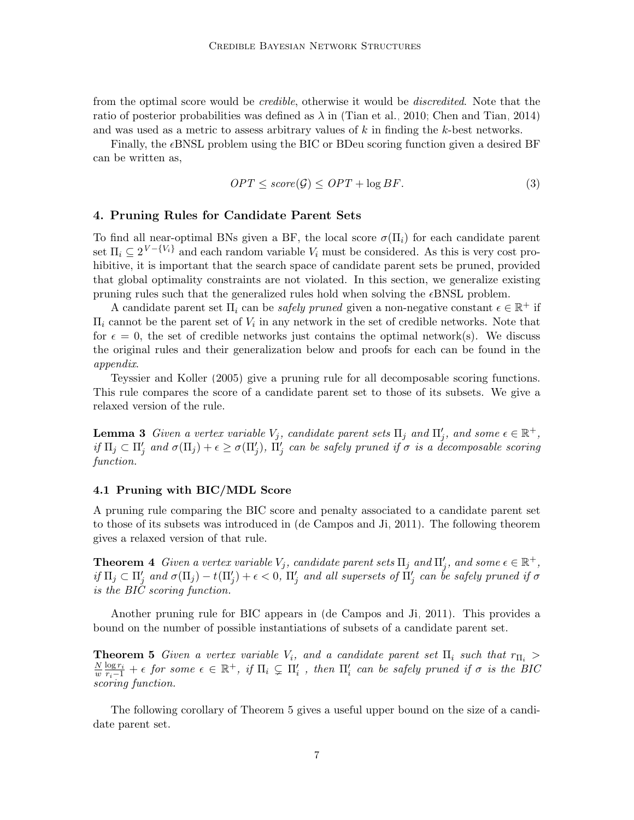from the optimal score would be *credible*, otherwise it would be *discredited*. Note that the ratio of posterior probabilities was defined as  $\lambda$  in [\(Tian et al., 2010;](#page-23-5) [Chen and Tian, 2014\)](#page-22-7) and was used as a metric to assess arbitrary values of  $k$  in finding the  $k$ -best networks.

Finally, the eBNSL problem using the BIC or BDeu scoring function given a desired BF can be written as,

<span id="page-6-5"></span>
$$
OPT \leq score(\mathcal{G}) \leq OPT + \log BF. \tag{3}
$$

### <span id="page-6-2"></span>4. Pruning Rules for Candidate Parent Sets

To find all near-optimal BNs given a BF, the local score  $\sigma(\Pi_i)$  for each candidate parent set  $\Pi_i \subseteq 2^{V - \{V_i\}}$  and each random variable  $V_i$  must be considered. As this is very cost prohibitive, it is important that the search space of candidate parent sets be pruned, provided that global optimality constraints are not violated. In this section, we generalize existing pruning rules such that the generalized rules hold when solving the  $\epsilon$ BNSL problem.

A candidate parent set  $\Pi_i$  can be *safely pruned* given a non-negative constant  $\epsilon \in \mathbb{R}^+$  if  $\Pi_i$  cannot be the parent set of  $V_i$  in any network in the set of credible networks. Note that for  $\epsilon = 0$ , the set of credible networks just contains the optimal network(s). We discuss the original rules and their generalization below and proofs for each can be found in the appendix.

[Teyssier and Koller \(2005\)](#page-23-13) give a pruning rule for all decomposable scoring functions. This rule compares the score of a candidate parent set to those of its subsets. We give a relaxed version of the rule.

<span id="page-6-3"></span>**Lemma 3** Given a vertex variable  $V_j$ , candidate parent sets  $\Pi_j$  and  $\Pi'_j$ , and some  $\epsilon \in \mathbb{R}^+$ , if  $\Pi_j\subset \Pi'_j$  and  $\sigma(\Pi_j)+\epsilon\geq \sigma(\Pi'_j)$ ,  $\Pi'_j$  can be safely pruned if  $\sigma$  is a decomposable scoring function.

### 4.1 Pruning with BIC/MDL Score

<span id="page-6-4"></span>A pruning rule comparing the BIC score and penalty associated to a candidate parent set to those of its subsets was introduced in [\(de Campos and Ji, 2011\)](#page-22-8). The following theorem gives a relaxed version of that rule.

**Theorem 4** Given a vertex variable  $V_j$ , candidate parent sets  $\Pi_j$  and  $\Pi'_j$ , and some  $\epsilon \in \mathbb{R}^+$ , if  $\Pi_j\subset \Pi'_j$  and  $\sigma(\Pi_j)-t(\Pi'_j)+\epsilon< 0$ ,  $\Pi'_j$  and all supersets of  $\Pi'_j$  can be safely pruned if  $\sigma$ is the BIC scoring function.

Another pruning rule for BIC appears in [\(de Campos and Ji, 2011\)](#page-22-8). This provides a bound on the number of possible instantiations of subsets of a candidate parent set.

<span id="page-6-0"></span>**Theorem 5** Given a vertex variable  $V_i$ , and a candidate parent set  $\Pi_i$  such that  $r_{\Pi_i}$  > N  $\frac{N}{w}\frac{\log r_i}{r_i-1} + \epsilon$  for some  $\epsilon \in \mathbb{R}^+$ , if  $\Pi_i \subsetneq \Pi'_i$ , then  $\Pi'_i$  can be safely pruned if  $\sigma$  is the BIC scoring function.

<span id="page-6-1"></span>The following corollary of Theorem [5](#page-6-0) gives a useful upper bound on the size of a candidate parent set.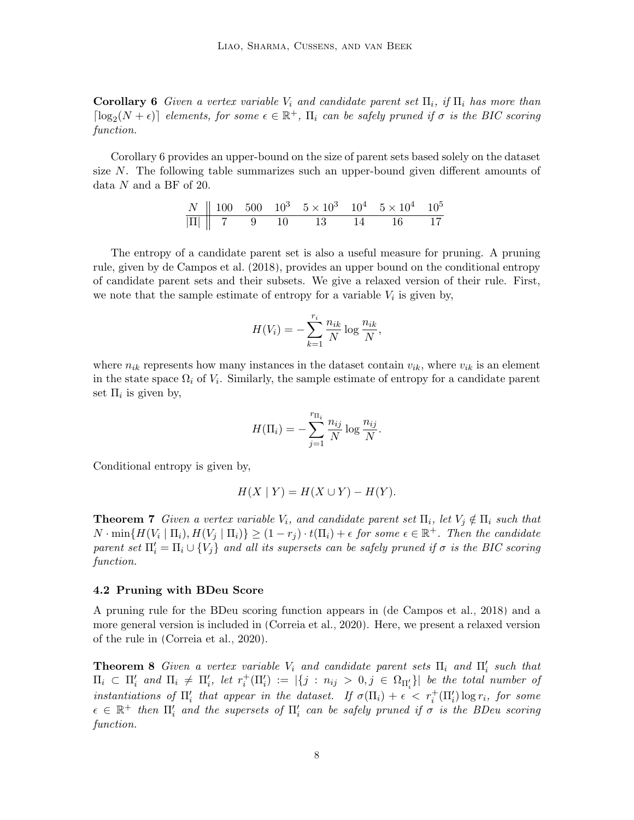**Corollary 6** Given a vertex variable  $V_i$  and candidate parent set  $\Pi_i$ , if  $\Pi_i$  has more than  $\lceil \log_2(N+\epsilon) \rceil$  elements, for some  $\epsilon \in \mathbb{R}^+$ ,  $\Pi_i$  can be safely pruned if  $\sigma$  is the BIC scoring function.

Corollary [6](#page-6-1) provides an upper-bound on the size of parent sets based solely on the dataset size  $N$ . The following table summarizes such an upper-bound given different amounts of data N and a BF of 20.

| $N$     | 100 | 500 | $10^3$ | $5 \times 10^3$ | $10^4$ | $5 \times 10^4$ | $10^5$ |
|---------|-----|-----|--------|-----------------|--------|-----------------|--------|
| $ \Pi $ | 7   | 9   | 10     | 13              | 14     | 16              | 17     |

The entropy of a candidate parent set is also a useful measure for pruning. A pruning rule, given by [de Campos et al. \(2018\)](#page-22-9), provides an upper bound on the conditional entropy of candidate parent sets and their subsets. We give a relaxed version of their rule. First, we note that the sample estimate of entropy for a variable  $V_i$  is given by,

$$
H(V_i) = -\sum_{k=1}^{r_i} \frac{n_{ik}}{N} \log \frac{n_{ik}}{N},
$$

where  $n_{ik}$  represents how many instances in the dataset contain  $v_{ik}$ , where  $v_{ik}$  is an element in the state space  $\Omega_i$  of  $V_i$ . Similarly, the sample estimate of entropy for a candidate parent set  $\Pi_i$  is given by,

$$
H(\Pi_i) = -\sum_{j=1}^{r_{\Pi_i}} \frac{n_{ij}}{N} \log \frac{n_{ij}}{N}.
$$

Conditional entropy is given by,

$$
H(X | Y) = H(X \cup Y) - H(Y).
$$

<span id="page-7-1"></span>**Theorem 7** Given a vertex variable  $V_i$ , and candidate parent set  $\Pi_i$ , let  $V_j \notin \Pi_i$  such that  $N \cdot \min\{H(V_i \mid \Pi_i), H(V_j \mid \Pi_i)\} \geq (1-r_j) \cdot t(\Pi_i) + \epsilon \text{ for some } \epsilon \in \mathbb{R}^+$ . Then the candidate parent set  $\Pi_i' = \Pi_i \cup \{V_j\}$  and all its supersets can be safely pruned if  $\sigma$  is the BIC scoring function.

#### 4.2 Pruning with BDeu Score

A pruning rule for the BDeu scoring function appears in [\(de Campos et al., 2018\)](#page-22-9) and a more general version is included in [\(Correia et al., 2020\)](#page-22-10). Here, we present a relaxed version of the rule in [\(Correia et al., 2020\)](#page-22-10).

<span id="page-7-0"></span>**Theorem 8** Given a vertex variable  $V_i$  and candidate parent sets  $\Pi_i$  and  $\Pi'_i$  such that  $\Pi_i \subset \Pi'_i$  and  $\Pi_i \neq \Pi'_i$ , let  $r_i^+(\Pi'_i) := |\{j : n_{ij} > 0, j \in \Omega_{\Pi'_i}\}|$  be the total number of instantiations of  $\Pi'_i$  that appear in the dataset. If  $\sigma(\Pi_i) + \epsilon < r_i^+(\Pi'_i) \log r_i$ , for some  $\epsilon \in \mathbb{R}^+$  then  $\Pi'_i$  and the supersets of  $\Pi'_i$  can be safely pruned if  $\sigma$  is the BDeu scoring function.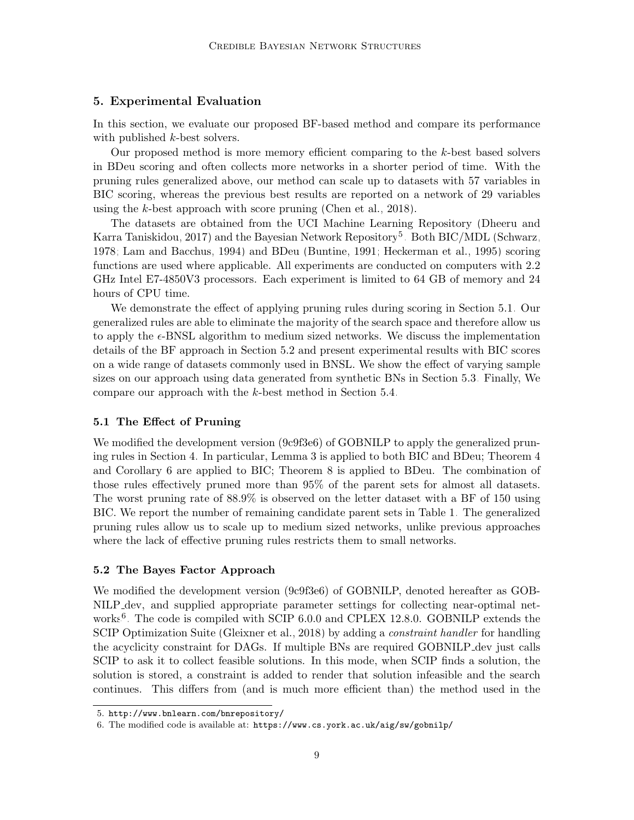### 5. Experimental Evaluation

In this section, we evaluate our proposed BF-based method and compare its performance with published k-best solvers.

Our proposed method is more memory efficient comparing to the k-best based solvers in BDeu scoring and often collects more networks in a shorter period of time. With the pruning rules generalized above, our method can scale up to datasets with 57 variables in BIC scoring, whereas the previous best results are reported on a network of 29 variables using the k-best approach with score pruning [\(Chen et al., 2018\)](#page-22-6).

The datasets are obtained from the UCI Machine Learning Repository [\(Dheeru and](#page-22-11) [Karra Taniskidou, 2017\)](#page-22-11) and the Bayesian Network Repository<sup>[5](#page-8-0)</sup>. Both BIC/MDL [\(Schwarz,](#page-23-9) [1978;](#page-23-9) [Lam and Bacchus, 1994\)](#page-23-8) and BDeu [\(Buntine, 1991;](#page-21-0) [Heckerman et al., 1995\)](#page-23-10) scoring functions are used where applicable. All experiments are conducted on computers with 2.2 GHz Intel E7-4850V3 processors. Each experiment is limited to 64 GB of memory and 24 hours of CPU time.

We demonstrate the effect of applying pruning rules during scoring in Section [5.1.](#page-8-1) Our generalized rules are able to eliminate the majority of the search space and therefore allow us to apply the  $\epsilon$ -BNSL algorithm to medium sized networks. We discuss the implementation details of the BF approach in Section [5.2](#page-8-2) and present experimental results with BIC scores on a wide range of datasets commonly used in BNSL. We show the effect of varying sample sizes on our approach using data generated from synthetic BNs in Section [5.3.](#page-11-0) Finally, We compare our approach with the k-best method in Section [5.4.](#page-11-1)

#### <span id="page-8-1"></span>5.1 The Effect of Pruning

We modified the development version (9c9f3e6) of GOBNILP to apply the generalized pruning rules in Section [4.](#page-6-2) In particular, Lemma [3](#page-6-3) is applied to both BIC and BDeu; Theorem [4](#page-6-4) and Corollary [6](#page-6-1) are applied to BIC; Theorem [8](#page-7-0) is applied to BDeu. The combination of those rules effectively pruned more than 95% of the parent sets for almost all datasets. The worst pruning rate of 88.9% is observed on the letter dataset with a BF of 150 using BIC. We report the number of remaining candidate parent sets in Table [1.](#page-9-0) The generalized pruning rules allow us to scale up to medium sized networks, unlike previous approaches where the lack of effective pruning rules restricts them to small networks.

#### <span id="page-8-2"></span>5.2 The Bayes Factor Approach

We modified the development version (9c9f3e6) of GOBNILP, denoted hereafter as GOB-NILP dev, and supplied appropriate parameter settings for collecting near-optimal net-works<sup>[6](#page-8-3)</sup>. The code is compiled with SCIP 6.0.0 and CPLEX 12.8.0. GOBNILP extends the SCIP Optimization Suite [\(Gleixner et al., 2018\)](#page-22-12) by adding a *constraint handler* for handling the acyclicity constraint for DAGs. If multiple BNs are required GOBNILP dev just calls SCIP to ask it to collect feasible solutions. In this mode, when SCIP finds a solution, the solution is stored, a constraint is added to render that solution infeasible and the search continues. This differs from (and is much more efficient than) the method used in the

<span id="page-8-0"></span><sup>5.</sup> <http://www.bnlearn.com/bnrepository/>

<span id="page-8-3"></span><sup>6.</sup> The modified code is available at: <https://www.cs.york.ac.uk/aig/sw/gobnilp/>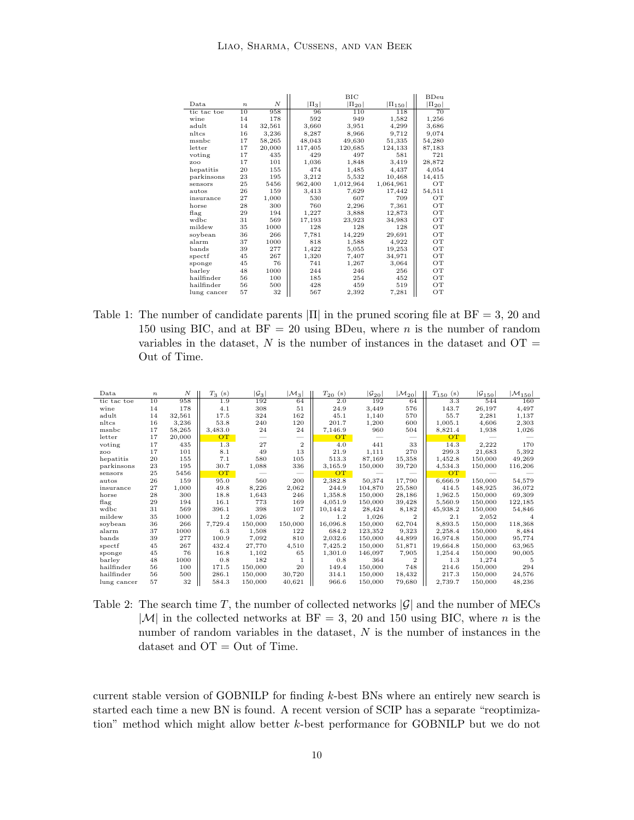|             |                  |                  |           | ВIС          |               | BDeu         |
|-------------|------------------|------------------|-----------|--------------|---------------|--------------|
| Data        | $\boldsymbol{n}$ | $\boldsymbol{N}$ | $ \Pi_3 $ | $ \Pi_{20} $ | $ \Pi_{150} $ | $ \Pi_{20} $ |
| tic tac toe | 10               | 958              | 96        | 110          | 118           | 70           |
| wine        | 14               | 178              | 592       | 949          | 1,582         | 1,256        |
| adult       | 14               | 32,561           | 3,660     | 3,951        | 4,299         | 3,686        |
| nltcs       | 16               | 3,236            | 8,287     | 8,966        | 9,712         | 9,074        |
| msnbc       | 17               | 58,265           | 48,043    | 49,630       | 51,335        | 54,280       |
| letter      | 17               | 20,000           | 117,405   | 120,685      | 124,133       | 87,183       |
| voting      | 17               | 435              | 429       | 497          | 581           | 721          |
| zoo         | 17               | 101              | 1,036     | 1,848        | 3,419         | 28,872       |
| hepatitis   | 20               | 155              | 474       | 1,485        | 4,437         | 4,054        |
| parkinsons  | 23               | 195              | 3,212     | 5,532        | 10,468        | 14,415       |
| sensors     | 25               | 5456             | 962,400   | 1,012,964    | 1,064,961     | OТ           |
| autos       | 26               | 159              | 3,413     | 7,629        | 17,442        | 54,511       |
| insurance   | 27               | 1,000            | 530       | 607          | 709           | OТ           |
| horse       | 28               | 300              | 760       | 2,296        | 7,361         | OТ           |
| flag        | 29               | 194              | 1,227     | 3,888        | 12,873        | OТ           |
| wdbc        | 31               | 569              | 17,193    | 23,923       | 34,983        | OT           |
| mildew      | 35               | 1000             | 128       | 128          | 128           | OТ           |
| soybean     | 36               | 266              | 7,781     | 14,229       | 29,691        | OТ           |
| alarm       | 37               | 1000             | 818       | 1,588        | 4,922         | OT           |
| bands       | 39               | 277              | 1,422     | 5,055        | 19,253        | OТ           |
| spectf      | 45               | 267              | 1,320     | 7,407        | 34,971        | OТ           |
| sponge      | 45               | 76               | 741       | 1,267        | 3,064         | OT           |
| barley      | 48               | 1000             | 244       | 246          | 256           | OТ           |
| hailfinder  | 56               | 100              | 185       | 254          | 452           | OТ           |
| hailfinder  | 56               | 500              | 428       | 459          | 519           | OТ           |
| lung cancer | 57               | 32               | 567       | 2,392        | 7,281         | OТ           |

<span id="page-9-0"></span>Table 1: The number of candidate parents  $|\Pi|$  in the pruned scoring file at BF = 3, 20 and 150 using BIC, and at  $BF = 20$  using BDeu, where *n* is the number of random variables in the dataset,  $N$  is the number of instances in the dataset and  $OT =$ Out of Time.

| Data        | $\boldsymbol{n}$ | N      | $T_3$ (s) | $ \mathcal{G}_3 $ | $ \mathcal{M}_3 $ | $T_{20}$ (s) | $ \mathcal{G}_{20} $ | $ \mathcal{M}_{20} $ | $T_{150}$ (s) | $ G_{150} $ | $ \mathcal{M}_{150} $ |
|-------------|------------------|--------|-----------|-------------------|-------------------|--------------|----------------------|----------------------|---------------|-------------|-----------------------|
| tic tac toe | 10               | 958    | 1.9       | 192               | 64                | 2.0          | 192                  | 64                   | 3.3           | 544         | 160                   |
| wine        | 14               | 178    | 4.1       | 308               | 51                | 24.9         | 3,449                | 576                  | 143.7         | 26,197      | 4,497                 |
| adult       | 14               | 32,561 | 17.5      | 324               | 162               | 45.1         | 1,140                | 570                  | 55.7          | 2,281       | 1,137                 |
| nltcs       | 16               | 3,236  | 53.8      | 240               | 120               | 201.7        | 1,200                | 600                  | 1,005.1       | 4,606       | 2,303                 |
| msnbc       | 17               | 58,265 | 3,483.0   | 24                | 24                | 7,146.9      | 960                  | 504                  | 8,821.4       | 1,938       | 1,026                 |
| letter      | 17               | 20,000 | <b>OT</b> |                   |                   | OT           |                      |                      | OT            |             |                       |
| voting      | 17               | 435    | 1.3       | 27                | $\overline{2}$    | 4.0          | 441                  | 33                   | 14.3          | 2,222       | 170                   |
| zoo         | 17               | 101    | 8.1       | 49                | 13                | 21.9         | 1,111                | 270                  | 299.3         | 21,683      | 5,392                 |
| hepatitis   | 20               | 155    | 7.1       | 580               | 105               | 513.3        | 87,169               | 15,358               | 1,452.8       | 150,000     | 49,269                |
| parkinsons  | 23               | 195    | 30.7      | 1,088             | 336               | 3,165.9      | 150,000              | 39,720               | 4,534.3       | 150,000     | 116,206               |
| sensors     | 25               | 5456   | <b>OT</b> |                   |                   | OT           |                      |                      | OT            |             |                       |
| autos       | 26               | 159    | 95.0      | 560               | 200               | 2,382.8      | 50,374               | 17,790               | 6,666.9       | 150,000     | 54,579                |
| insurance   | 27               | 1,000  | 49.8      | 8,226             | 2,062             | 244.9        | 104,870              | 25,580               | 414.5         | 148,925     | 36,072                |
| horse       | 28               | 300    | 18.8      | 1,643             | 246               | 1,358.8      | 150,000              | 28,186               | 1,962.5       | 150,000     | 69,309                |
| flag        | 29               | 194    | 16.1      | 773               | 169               | 4,051.9      | 150,000              | 39,428               | 5,560.9       | 150,000     | 122,185               |
| wdbc        | 31               | 569    | 396.1     | 398               | 107               | 10,144.2     | 28,424               | 8,182                | 45,938.2      | 150,000     | 54,846                |
| mildew      | 35               | 1000   | 1.2       | 1,026             | $\overline{2}$    | 1.2          | 1,026                | $\mathbf{2}$         | 2.1           | 2,052       |                       |
| soybean     | 36               | 266    | 7,729.4   | 150,000           | 150,000           | 16,096.8     | 150,000              | 62,704               | 8,893.5       | 150,000     | 118,368               |
| alarm       | 37               | 1000   | 6.3       | 1,508             | 122               | 684.2        | 123,352              | 9,323                | 2,258.4       | 150,000     | 8,484                 |
| bands       | 39               | 277    | 100.9     | 7,092             | 810               | 2,032.6      | 150,000              | 44,899               | 16,974.8      | 150,000     | 95,774                |
| spectf      | 45               | 267    | 432.4     | 27,770            | 4,510             | 7,425.2      | 150,000              | 51,871               | 19.664.8      | 150,000     | 63,965                |
| sponge      | 45               | 76     | 16.8      | 1,102             | 65                | 1,301.0      | 146,097              | 7,905                | 1,254.4       | 150,000     | 90,005                |
| barley      | 48               | 1000   | 0.8       | 182               |                   | 0.8          | 364                  | $\mathbf{2}$         | 1.3           | 1,274       | 5                     |
| hailfinder  | 56               | 100    | 171.5     | 150,000           | 20                | 149.4        | 150,000              | 748                  | 214.6         | 150,000     | 294                   |
| hailfinder  | 56               | 500    | 286.1     | 150,000           | 30,720            | 314.1        | 150,000              | 18,432               | 217.3         | 150,000     | 24,576                |
| lung cancer | 57               | 32     | 584.3     | 150,000           | 40,621            | 966.6        | 150,000              | 79,680               | 2,739.7       | 150,000     | 48,236                |

<span id="page-9-1"></span>Table 2: The search time T, the number of collected networks  $|\mathcal{G}|$  and the number of MECs  $|\mathcal{M}|$  in the collected networks at BF = 3, 20 and 150 using BIC, where n is the number of random variables in the dataset, N is the number of instances in the dataset and  $OT = Out$  of Time.

current stable version of GOBNILP for finding k-best BNs where an entirely new search is started each time a new BN is found. A recent version of SCIP has a separate "reoptimization" method which might allow better k-best performance for GOBNILP but we do not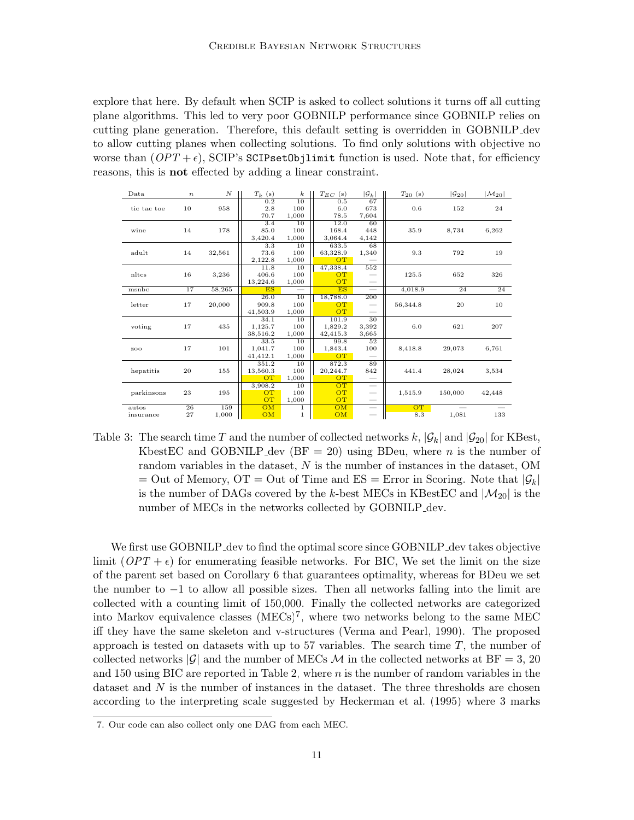explore that here. By default when SCIP is asked to collect solutions it turns off all cutting plane algorithms. This led to very poor GOBNILP performance since GOBNILP relies on cutting plane generation. Therefore, this default setting is overridden in GOBNILP dev to allow cutting planes when collecting solutions. To find only solutions with objective no worse than  $(OPT + \epsilon)$ , SCIP's SCIPsetObjlimit function is used. Note that, for efficiency reasons, this is not effected by adding a linear constraint.

| Data        | $\boldsymbol{n}$ | $\boldsymbol{N}$ | $T_k$ (s) | $\boldsymbol{k}$ | $T_{EC}$ (s) | $ \mathcal{G}_k $        | $T_{20}$ (s) | $ \mathcal{G}_{20} $ | $ \mathcal{M}_{20} $ |
|-------------|------------------|------------------|-----------|------------------|--------------|--------------------------|--------------|----------------------|----------------------|
|             |                  |                  | 0.2       | $\overline{10}$  | 0.5          | 67                       |              |                      |                      |
| tic tac toe | 10               | 958              | 2.8       | 100              | 6.0          | 673                      | 0.6          | 152                  | 24                   |
|             |                  |                  | 70.7      | 1,000            | 78.5         | 7,604                    |              |                      |                      |
|             |                  |                  | 3.4       | 10               | 12.0         | 60                       |              |                      |                      |
| wine        | 14               | 178              | 85.0      | 100              | 168.4        | 448                      | 35.9         | 8,734                | 6,262                |
|             |                  |                  | 3,420.4   | 1,000            | 3,064.4      | 4,142                    |              |                      |                      |
|             |                  |                  | 3.3       | 10               | 633.5        | 68                       |              |                      |                      |
| adult       | 14               | 32,561           | 73.6      | 100              | 63,328.9     | 1,340                    | 9.3          | 792                  | 19                   |
|             |                  |                  | 2,122.8   | 1,000            | OT           |                          |              |                      |                      |
|             |                  |                  | 11.8      | 10               | 47,338.4     | 552                      |              |                      |                      |
| nltcs       | 16               | 3,236            | 406.6     | 100              | <b>OT</b>    | $\overline{\phantom{0}}$ | 125.5        | 652                  | 326                  |
|             |                  |                  | 13,224.6  | 1,000            | <b>OT</b>    | $\overline{\phantom{0}}$ |              |                      |                      |
| msnbc       | 17               | 58,265           | ES        |                  | ES           |                          | 4,018.9      | 24                   | 24                   |
|             |                  |                  | 26.0      | $\overline{10}$  | 18,788.0     | 200                      |              |                      |                      |
| letter      | 17               | 20,000           | 909.8     | 100              | OT.          |                          | 56,344.8     | 20                   | 10                   |
|             |                  |                  | 41,503.9  | 1,000            | <b>OT</b>    |                          |              |                      |                      |
|             |                  |                  | 34.1      | 10               | 101.9        | $\overline{30}$          |              |                      |                      |
| voting      | 17               | 435              | 1,125.7   | 100              | 1,829.2      | 3,392                    | 6.0          | 621                  | 207                  |
|             |                  |                  | 38,516.2  | 1,000            | 42,415.3     | 3,665                    |              |                      |                      |
|             |                  |                  | 33.5      | 10               | 99.8         | 52                       |              |                      |                      |
| zoo         | 17               | 101              | 1,041.7   | 100              | 1,843.4      | 100                      | 8,418.8      | 29,073               | 6,761                |
|             |                  |                  | 41,412.1  | 1,000            | OT.          |                          |              |                      |                      |
|             |                  |                  | 351.2     | 10               | 872.3        | 89                       |              |                      |                      |
| hepatitis   | 20               | 155              | 13,560.3  | 100              | 20,244.7     | 842                      | 441.4        | 28,024               | 3,534                |
|             |                  |                  | OT        | 1,000            | <b>OT</b>    |                          |              |                      |                      |
|             |                  |                  | 3,908.2   | 10               | OT           |                          |              |                      |                      |
| parkinsons  | $\bf{^{23}}$     | 195              | <b>OT</b> | 100              | <b>OT</b>    | $\overline{\phantom{0}}$ | 1,515.9      | 150,000              | 42,448               |
|             |                  |                  | <b>OT</b> | 1,000            | <b>OT</b>    | $\overline{\phantom{m}}$ |              |                      |                      |
| autos       | 26               | 159              | OM        | $\mathbf{1}$     | OM           |                          | <b>OT</b>    |                      |                      |
| insurance   | 27               | 1,000            | OM        | $\mathbf{1}$     | OM           | $\qquad \qquad$          | 8.3          | 1,081                | 133                  |

<span id="page-10-1"></span>Table 3: The search time T and the number of collected networks k,  $|\mathcal{G}_k|$  and  $|\mathcal{G}_{20}|$  for KBest, KbestEC and GOBNILP dev ( $BF = 20$ ) using BDeu, where n is the number of random variables in the dataset, N is the number of instances in the dataset, OM = Out of Memory, OT = Out of Time and ES = Error in Scoring. Note that  $|\mathcal{G}_k|$ is the number of DAGs covered by the k-best MECs in KBestEC and  $|\mathcal{M}_{20}|$  is the number of MECs in the networks collected by GOBNILP dev.

We first use GOBNILP dev to find the optimal score since GOBNILP dev takes objective limit  $(OPT + \epsilon)$  for enumerating feasible networks. For BIC, We set the limit on the size of the parent set based on Corollary [6](#page-6-1) that guarantees optimality, whereas for BDeu we set the number to −1 to allow all possible sizes. Then all networks falling into the limit are collected with a counting limit of 150,000. Finally the collected networks are categorized into Markov equivalence classes  $(MECs)^7$  $(MECs)^7$ , where two networks belong to the same MEC iff they have the same skeleton and v-structures [\(Verma and Pearl, 1990\)](#page-23-14). The proposed approach is tested on datasets with up to 57 variables. The search time  $T$ , the number of collected networks  $|\mathcal{G}|$  and the number of MECs M in the collected networks at BF = 3, 20 and 150 using BIC are reported in Table [2,](#page-9-1) where n is the number of random variables in the dataset and  $N$  is the number of instances in the dataset. The three thresholds are chosen according to the interpreting scale suggested by [Heckerman et al. \(1995\)](#page-23-10) where 3 marks

<span id="page-10-0"></span><sup>7.</sup> Our code can also collect only one DAG from each MEC.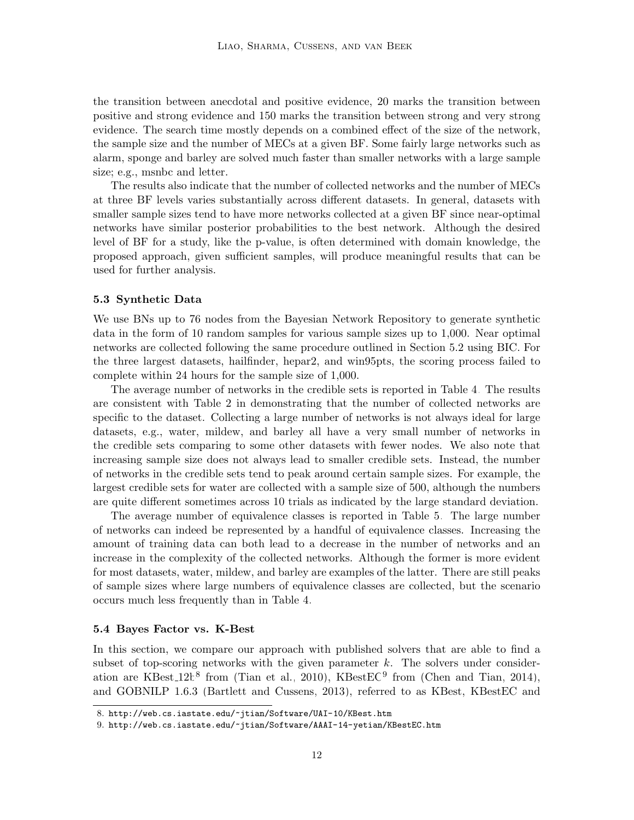the transition between anecdotal and positive evidence, 20 marks the transition between positive and strong evidence and 150 marks the transition between strong and very strong evidence. The search time mostly depends on a combined effect of the size of the network, the sample size and the number of MECs at a given BF. Some fairly large networks such as alarm, sponge and barley are solved much faster than smaller networks with a large sample size; e.g., msnbc and letter.

The results also indicate that the number of collected networks and the number of MECs at three BF levels varies substantially across different datasets. In general, datasets with smaller sample sizes tend to have more networks collected at a given BF since near-optimal networks have similar posterior probabilities to the best network. Although the desired level of BF for a study, like the p-value, is often determined with domain knowledge, the proposed approach, given sufficient samples, will produce meaningful results that can be used for further analysis.

#### <span id="page-11-0"></span>5.3 Synthetic Data

We use BNs up to 76 nodes from the Bayesian Network Repository to generate synthetic data in the form of 10 random samples for various sample sizes up to 1,000. Near optimal networks are collected following the same procedure outlined in Section [5.2](#page-8-2) using BIC. For the three largest datasets, hailfinder, hepar2, and win95pts, the scoring process failed to complete within 24 hours for the sample size of 1,000.

The average number of networks in the credible sets is reported in Table [4.](#page-12-0) The results are consistent with Table [2](#page-9-1) in demonstrating that the number of collected networks are specific to the dataset. Collecting a large number of networks is not always ideal for large datasets, e.g., water, mildew, and barley all have a very small number of networks in the credible sets comparing to some other datasets with fewer nodes. We also note that increasing sample size does not always lead to smaller credible sets. Instead, the number of networks in the credible sets tend to peak around certain sample sizes. For example, the largest credible sets for water are collected with a sample size of 500, although the numbers are quite different sometimes across 10 trials as indicated by the large standard deviation.

The average number of equivalence classes is reported in Table [5.](#page-13-0) The large number of networks can indeed be represented by a handful of equivalence classes. Increasing the amount of training data can both lead to a decrease in the number of networks and an increase in the complexity of the collected networks. Although the former is more evident for most datasets, water, mildew, and barley are examples of the latter. There are still peaks of sample sizes where large numbers of equivalence classes are collected, but the scenario occurs much less frequently than in Table [4.](#page-12-0)

#### <span id="page-11-1"></span>5.4 Bayes Factor vs. K-Best

In this section, we compare our approach with published solvers that are able to find a subset of top-scoring networks with the given parameter  $k$ . The solvers under consideration are KBest  $12b^8$  $12b^8$  from [\(Tian et al., 2010\)](#page-23-5), KBest EC<sup>[9](#page-11-3)</sup> from [\(Chen and Tian, 2014\)](#page-22-7), and GOBNILP 1.6.3 [\(Bartlett and Cussens, 2013\)](#page-21-1), referred to as KBest, KBestEC and

<span id="page-11-2"></span><sup>8.</sup> <http://web.cs.iastate.edu/~jtian/Software/UAI-10/KBest.htm>

<span id="page-11-3"></span><sup>9.</sup> <http://web.cs.iastate.edu/~jtian/Software/AAAI-14-yetian/KBestEC.htm>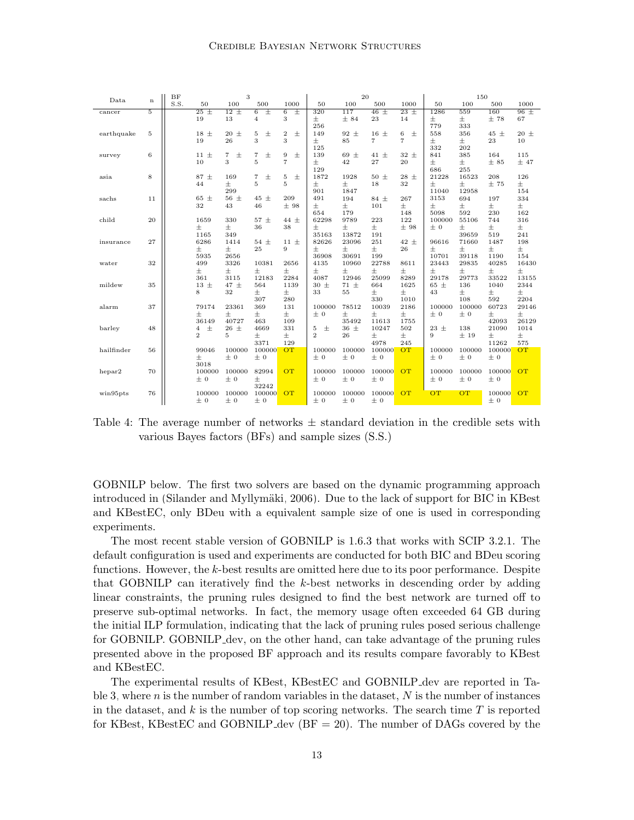#### Credible Bayesian Network Structures

| S.S.<br>50<br>100<br>500<br>1000<br>50<br>100<br>500<br>1000<br>50<br>100<br>500<br>1000<br>$12 \pm$<br>$\overline{46}$ $\pm$<br>160<br>$\overline{5}$<br>$25 \pm$<br>$\overline{6}$<br>Ŧ<br>$\overline{6}$<br>Ŧ<br>117<br>$23 \pm$<br>1286<br>559<br>$96 \pm$<br>320<br>cancer<br>3<br>13<br>$\overline{4}$<br>士<br>± 84<br>23<br>$\pm$<br>$\pm$<br>±78<br>19<br>14<br>67<br>256<br>779<br>333<br>$18 \pm$<br>$\pm$<br>5<br>$20 \pm$<br>5<br>$\pm$<br>$\overline{2}$<br>92 $\pm$<br>$16 \pm$<br>6<br>$\pm$<br>$45 \pm$<br>$20 \pm$<br>558<br>356<br>earthquake<br>149<br>3<br>3<br>$\overline{7}$<br>$\overline{7}$<br>19<br>26<br>$\pm$<br>85<br>$\pm$<br>23<br>$\pm$<br>10<br>332<br>125<br>202<br>$\pm$<br>6<br>$\overline{7}$<br>$\pm$<br>$\overline{7}$<br>士<br>9<br>$32 +$<br>841<br>385<br>115<br>$11 \pm$<br>139<br>$69 \pm$<br>$41 \pm$<br>164<br>survey<br>3<br>5<br>$\overline{7}$<br>$\pm$<br>$\pm$<br>$\pm$<br>10<br>42<br>27<br>20<br>± 85<br>±47<br>129<br>686<br>255<br>$\pm$<br>8<br>87 ±<br>169<br>士<br>1872<br>1928<br>$28 \pm$<br>21228<br>208<br>126<br>$\overline{7}$<br>5<br>$50 \pm$<br>16523<br>asia<br>$\pm$<br>5<br>5<br>$\pm$<br>$\pm$<br>$\pm$<br>18<br>32<br>$\pm$<br>$\pm$<br>±75<br>44<br>299<br>901<br>1847<br>11040<br>12958<br>154<br>65 ±<br>56 $\pm$<br>45<br>$\pm$<br>209<br>$84 +$<br>267<br>334<br>11<br>491<br>194<br>3153<br>694<br>197<br>sachs<br>32<br>±98<br>$\pm$<br>$\pm$<br>$\pm$<br>$\pm$<br>$\pm$<br>43<br>46<br>101<br>$\pm$<br>$\pm$<br>5098<br>230<br>654<br>179<br>148<br>592<br>162<br>122<br>child<br>20<br>330<br>$57 \pm$<br>62298<br>9789<br>223<br>100000<br>55106<br>744<br>316<br>1659<br>$44 \pm$<br>$\pm$<br>士<br>38<br>$\pm$<br>$\pm$<br>士<br>36<br>$\pm$<br>士<br>±98<br>$\pm$<br>$\pm 0$<br>1165<br>349<br>35163<br>13872<br>191<br>39659<br>519<br>241<br>27<br>6286<br>1414<br>$54 \pm$<br>$11 \pm$<br>82626<br>23096<br>251<br>$42 \pm$<br>96616<br>71660<br>1487<br>198<br>insurance<br>$\pm$<br>士<br>9<br>$\pm$<br>$\pm$<br>士<br>25<br>$\pm$<br>士<br>26<br>士<br>士<br>5935<br>2656<br>36908<br>30691<br>199<br>10701<br>39118<br>1190<br>154<br>32<br>3326<br>2656<br>499<br>10381<br>4135<br>10960<br>22788<br>8611<br>23443<br>29835<br>40285<br>16430<br>water<br>$\pm$<br>$\pm$<br>$\pm$<br>$\pm$<br>$\pm$<br>$\pm$<br>$\pm$<br>$\pm$<br>$\pm$<br>士<br>士<br>士<br>361<br>12183<br>2284<br>4087<br>12946<br>25099<br>8289<br>29178<br>29773<br>33522<br>13155<br>3115<br>mildew<br>35<br>$13 \pm$<br>47 ±<br>1139<br>$30 \pm$<br>$71 \pm$<br>664<br>1625<br>65 ±<br>136<br>2344<br>564<br>1040<br>8<br>$\pm$<br>$\pm$<br>$\pm$<br>32<br>士<br>士<br>33<br>55<br>$\pm$<br>43<br>$\pm$<br>307<br>280<br>330<br>592<br>2204<br>1010<br>108<br>60723<br>37<br>79174<br>23361<br>369<br>131<br>78512<br>10039<br>2186<br>100000<br>100000<br>29146<br>alarm<br>100000<br>$\pm$<br>$\pm$<br>$\pm$<br>$\pm$<br>$\pm$<br>士<br>$\pm$<br>$\pm$<br>$\pm$<br>± 0<br>$\pm 0$<br>± 0<br>36149<br>40727<br>463<br>109<br>35492<br>11613<br>42093<br>26129<br>1755<br>$\pm$<br>48<br>$\pm$<br>$26 \pm$<br>331<br>$36 \pm$<br>502<br>$23 \pm$<br>138<br>21090<br>barley<br>4669<br>5<br>10247<br>1014<br>4<br>$\overline{2}$<br>$\pm$<br>$\overline{2}$<br>$\pm$<br>$\pm$<br>$\pm$<br>5<br>$\pm$<br>26<br>$\pm$<br>9<br>±19<br>3371<br>129<br>4978<br>11262<br>245<br>575<br>hailfinder<br>100000<br>100000<br><b>OT</b><br>100000<br>100000<br>OT<br>56<br>99046<br>100000<br>OT<br>100000<br>100000<br>100000<br>$\pm 0$<br>± 0<br>士<br>± 0<br>$\pm 0$<br>± 0<br>± 0<br>± 0<br>± 0<br>3018<br>OT<br><b>OT</b><br><b>OT</b><br>70<br>82994<br>100000<br>100000<br>100000<br>100000<br>hepar2<br>100000<br>100000<br>100000<br>100000<br>$\pm 0$<br>$\pm 0$<br>$\pm$<br>± 0<br>± 0<br>$\pm 0$<br>$\pm 0$<br>$\pm 0$<br>$\pm 0$<br>32242<br>76<br><b>OT</b><br><b>OT</b><br><b>OT</b><br><b>OT</b><br>100000<br>100000<br>100000<br>OT<br>100000<br>100000<br>100000<br>100000<br>win95pts |      |             | 3<br>BF |         |         |         |  | 20      |         |         |  | 150 |  |         |  |
|--------------------------------------------------------------------------------------------------------------------------------------------------------------------------------------------------------------------------------------------------------------------------------------------------------------------------------------------------------------------------------------------------------------------------------------------------------------------------------------------------------------------------------------------------------------------------------------------------------------------------------------------------------------------------------------------------------------------------------------------------------------------------------------------------------------------------------------------------------------------------------------------------------------------------------------------------------------------------------------------------------------------------------------------------------------------------------------------------------------------------------------------------------------------------------------------------------------------------------------------------------------------------------------------------------------------------------------------------------------------------------------------------------------------------------------------------------------------------------------------------------------------------------------------------------------------------------------------------------------------------------------------------------------------------------------------------------------------------------------------------------------------------------------------------------------------------------------------------------------------------------------------------------------------------------------------------------------------------------------------------------------------------------------------------------------------------------------------------------------------------------------------------------------------------------------------------------------------------------------------------------------------------------------------------------------------------------------------------------------------------------------------------------------------------------------------------------------------------------------------------------------------------------------------------------------------------------------------------------------------------------------------------------------------------------------------------------------------------------------------------------------------------------------------------------------------------------------------------------------------------------------------------------------------------------------------------------------------------------------------------------------------------------------------------------------------------------------------------------------------------------------------------------------------------------------------------------------------------------------------------------------------------------------------------------------------------------------------------------------------------------------------------------------------------------------------------------------------------------------------------------------------------------------------------------------------------------------------------------------------------------------------------------------------------------------------------------------------------------------------------------------------------------------------------------------------------------------------------------------------------------------------------------------------------------------------------|------|-------------|---------|---------|---------|---------|--|---------|---------|---------|--|-----|--|---------|--|
|                                                                                                                                                                                                                                                                                                                                                                                                                                                                                                                                                                                                                                                                                                                                                                                                                                                                                                                                                                                                                                                                                                                                                                                                                                                                                                                                                                                                                                                                                                                                                                                                                                                                                                                                                                                                                                                                                                                                                                                                                                                                                                                                                                                                                                                                                                                                                                                                                                                                                                                                                                                                                                                                                                                                                                                                                                                                                                                                                                                                                                                                                                                                                                                                                                                                                                                                                                                                                                                                                                                                                                                                                                                                                                                                                                                                                                                                                                                                                  | Data | $\mathbf n$ |         |         |         |         |  |         |         |         |  |     |  |         |  |
|                                                                                                                                                                                                                                                                                                                                                                                                                                                                                                                                                                                                                                                                                                                                                                                                                                                                                                                                                                                                                                                                                                                                                                                                                                                                                                                                                                                                                                                                                                                                                                                                                                                                                                                                                                                                                                                                                                                                                                                                                                                                                                                                                                                                                                                                                                                                                                                                                                                                                                                                                                                                                                                                                                                                                                                                                                                                                                                                                                                                                                                                                                                                                                                                                                                                                                                                                                                                                                                                                                                                                                                                                                                                                                                                                                                                                                                                                                                                                  |      |             |         |         |         |         |  |         |         |         |  |     |  |         |  |
|                                                                                                                                                                                                                                                                                                                                                                                                                                                                                                                                                                                                                                                                                                                                                                                                                                                                                                                                                                                                                                                                                                                                                                                                                                                                                                                                                                                                                                                                                                                                                                                                                                                                                                                                                                                                                                                                                                                                                                                                                                                                                                                                                                                                                                                                                                                                                                                                                                                                                                                                                                                                                                                                                                                                                                                                                                                                                                                                                                                                                                                                                                                                                                                                                                                                                                                                                                                                                                                                                                                                                                                                                                                                                                                                                                                                                                                                                                                                                  |      |             |         |         |         |         |  |         |         |         |  |     |  |         |  |
|                                                                                                                                                                                                                                                                                                                                                                                                                                                                                                                                                                                                                                                                                                                                                                                                                                                                                                                                                                                                                                                                                                                                                                                                                                                                                                                                                                                                                                                                                                                                                                                                                                                                                                                                                                                                                                                                                                                                                                                                                                                                                                                                                                                                                                                                                                                                                                                                                                                                                                                                                                                                                                                                                                                                                                                                                                                                                                                                                                                                                                                                                                                                                                                                                                                                                                                                                                                                                                                                                                                                                                                                                                                                                                                                                                                                                                                                                                                                                  |      |             |         |         |         |         |  |         |         |         |  |     |  |         |  |
|                                                                                                                                                                                                                                                                                                                                                                                                                                                                                                                                                                                                                                                                                                                                                                                                                                                                                                                                                                                                                                                                                                                                                                                                                                                                                                                                                                                                                                                                                                                                                                                                                                                                                                                                                                                                                                                                                                                                                                                                                                                                                                                                                                                                                                                                                                                                                                                                                                                                                                                                                                                                                                                                                                                                                                                                                                                                                                                                                                                                                                                                                                                                                                                                                                                                                                                                                                                                                                                                                                                                                                                                                                                                                                                                                                                                                                                                                                                                                  |      |             |         |         |         |         |  |         |         |         |  |     |  |         |  |
|                                                                                                                                                                                                                                                                                                                                                                                                                                                                                                                                                                                                                                                                                                                                                                                                                                                                                                                                                                                                                                                                                                                                                                                                                                                                                                                                                                                                                                                                                                                                                                                                                                                                                                                                                                                                                                                                                                                                                                                                                                                                                                                                                                                                                                                                                                                                                                                                                                                                                                                                                                                                                                                                                                                                                                                                                                                                                                                                                                                                                                                                                                                                                                                                                                                                                                                                                                                                                                                                                                                                                                                                                                                                                                                                                                                                                                                                                                                                                  |      |             |         |         |         |         |  |         |         |         |  |     |  |         |  |
|                                                                                                                                                                                                                                                                                                                                                                                                                                                                                                                                                                                                                                                                                                                                                                                                                                                                                                                                                                                                                                                                                                                                                                                                                                                                                                                                                                                                                                                                                                                                                                                                                                                                                                                                                                                                                                                                                                                                                                                                                                                                                                                                                                                                                                                                                                                                                                                                                                                                                                                                                                                                                                                                                                                                                                                                                                                                                                                                                                                                                                                                                                                                                                                                                                                                                                                                                                                                                                                                                                                                                                                                                                                                                                                                                                                                                                                                                                                                                  |      |             |         |         |         |         |  |         |         |         |  |     |  |         |  |
|                                                                                                                                                                                                                                                                                                                                                                                                                                                                                                                                                                                                                                                                                                                                                                                                                                                                                                                                                                                                                                                                                                                                                                                                                                                                                                                                                                                                                                                                                                                                                                                                                                                                                                                                                                                                                                                                                                                                                                                                                                                                                                                                                                                                                                                                                                                                                                                                                                                                                                                                                                                                                                                                                                                                                                                                                                                                                                                                                                                                                                                                                                                                                                                                                                                                                                                                                                                                                                                                                                                                                                                                                                                                                                                                                                                                                                                                                                                                                  |      |             |         |         |         |         |  |         |         |         |  |     |  |         |  |
|                                                                                                                                                                                                                                                                                                                                                                                                                                                                                                                                                                                                                                                                                                                                                                                                                                                                                                                                                                                                                                                                                                                                                                                                                                                                                                                                                                                                                                                                                                                                                                                                                                                                                                                                                                                                                                                                                                                                                                                                                                                                                                                                                                                                                                                                                                                                                                                                                                                                                                                                                                                                                                                                                                                                                                                                                                                                                                                                                                                                                                                                                                                                                                                                                                                                                                                                                                                                                                                                                                                                                                                                                                                                                                                                                                                                                                                                                                                                                  |      |             |         |         |         |         |  |         |         |         |  |     |  |         |  |
|                                                                                                                                                                                                                                                                                                                                                                                                                                                                                                                                                                                                                                                                                                                                                                                                                                                                                                                                                                                                                                                                                                                                                                                                                                                                                                                                                                                                                                                                                                                                                                                                                                                                                                                                                                                                                                                                                                                                                                                                                                                                                                                                                                                                                                                                                                                                                                                                                                                                                                                                                                                                                                                                                                                                                                                                                                                                                                                                                                                                                                                                                                                                                                                                                                                                                                                                                                                                                                                                                                                                                                                                                                                                                                                                                                                                                                                                                                                                                  |      |             |         |         |         |         |  |         |         |         |  |     |  |         |  |
|                                                                                                                                                                                                                                                                                                                                                                                                                                                                                                                                                                                                                                                                                                                                                                                                                                                                                                                                                                                                                                                                                                                                                                                                                                                                                                                                                                                                                                                                                                                                                                                                                                                                                                                                                                                                                                                                                                                                                                                                                                                                                                                                                                                                                                                                                                                                                                                                                                                                                                                                                                                                                                                                                                                                                                                                                                                                                                                                                                                                                                                                                                                                                                                                                                                                                                                                                                                                                                                                                                                                                                                                                                                                                                                                                                                                                                                                                                                                                  |      |             |         |         |         |         |  |         |         |         |  |     |  |         |  |
|                                                                                                                                                                                                                                                                                                                                                                                                                                                                                                                                                                                                                                                                                                                                                                                                                                                                                                                                                                                                                                                                                                                                                                                                                                                                                                                                                                                                                                                                                                                                                                                                                                                                                                                                                                                                                                                                                                                                                                                                                                                                                                                                                                                                                                                                                                                                                                                                                                                                                                                                                                                                                                                                                                                                                                                                                                                                                                                                                                                                                                                                                                                                                                                                                                                                                                                                                                                                                                                                                                                                                                                                                                                                                                                                                                                                                                                                                                                                                  |      |             |         |         |         |         |  |         |         |         |  |     |  |         |  |
|                                                                                                                                                                                                                                                                                                                                                                                                                                                                                                                                                                                                                                                                                                                                                                                                                                                                                                                                                                                                                                                                                                                                                                                                                                                                                                                                                                                                                                                                                                                                                                                                                                                                                                                                                                                                                                                                                                                                                                                                                                                                                                                                                                                                                                                                                                                                                                                                                                                                                                                                                                                                                                                                                                                                                                                                                                                                                                                                                                                                                                                                                                                                                                                                                                                                                                                                                                                                                                                                                                                                                                                                                                                                                                                                                                                                                                                                                                                                                  |      |             |         |         |         |         |  |         |         |         |  |     |  |         |  |
|                                                                                                                                                                                                                                                                                                                                                                                                                                                                                                                                                                                                                                                                                                                                                                                                                                                                                                                                                                                                                                                                                                                                                                                                                                                                                                                                                                                                                                                                                                                                                                                                                                                                                                                                                                                                                                                                                                                                                                                                                                                                                                                                                                                                                                                                                                                                                                                                                                                                                                                                                                                                                                                                                                                                                                                                                                                                                                                                                                                                                                                                                                                                                                                                                                                                                                                                                                                                                                                                                                                                                                                                                                                                                                                                                                                                                                                                                                                                                  |      |             |         |         |         |         |  |         |         |         |  |     |  |         |  |
|                                                                                                                                                                                                                                                                                                                                                                                                                                                                                                                                                                                                                                                                                                                                                                                                                                                                                                                                                                                                                                                                                                                                                                                                                                                                                                                                                                                                                                                                                                                                                                                                                                                                                                                                                                                                                                                                                                                                                                                                                                                                                                                                                                                                                                                                                                                                                                                                                                                                                                                                                                                                                                                                                                                                                                                                                                                                                                                                                                                                                                                                                                                                                                                                                                                                                                                                                                                                                                                                                                                                                                                                                                                                                                                                                                                                                                                                                                                                                  |      |             |         |         |         |         |  |         |         |         |  |     |  |         |  |
|                                                                                                                                                                                                                                                                                                                                                                                                                                                                                                                                                                                                                                                                                                                                                                                                                                                                                                                                                                                                                                                                                                                                                                                                                                                                                                                                                                                                                                                                                                                                                                                                                                                                                                                                                                                                                                                                                                                                                                                                                                                                                                                                                                                                                                                                                                                                                                                                                                                                                                                                                                                                                                                                                                                                                                                                                                                                                                                                                                                                                                                                                                                                                                                                                                                                                                                                                                                                                                                                                                                                                                                                                                                                                                                                                                                                                                                                                                                                                  |      |             |         |         |         |         |  |         |         |         |  |     |  |         |  |
|                                                                                                                                                                                                                                                                                                                                                                                                                                                                                                                                                                                                                                                                                                                                                                                                                                                                                                                                                                                                                                                                                                                                                                                                                                                                                                                                                                                                                                                                                                                                                                                                                                                                                                                                                                                                                                                                                                                                                                                                                                                                                                                                                                                                                                                                                                                                                                                                                                                                                                                                                                                                                                                                                                                                                                                                                                                                                                                                                                                                                                                                                                                                                                                                                                                                                                                                                                                                                                                                                                                                                                                                                                                                                                                                                                                                                                                                                                                                                  |      |             |         |         |         |         |  |         |         |         |  |     |  |         |  |
|                                                                                                                                                                                                                                                                                                                                                                                                                                                                                                                                                                                                                                                                                                                                                                                                                                                                                                                                                                                                                                                                                                                                                                                                                                                                                                                                                                                                                                                                                                                                                                                                                                                                                                                                                                                                                                                                                                                                                                                                                                                                                                                                                                                                                                                                                                                                                                                                                                                                                                                                                                                                                                                                                                                                                                                                                                                                                                                                                                                                                                                                                                                                                                                                                                                                                                                                                                                                                                                                                                                                                                                                                                                                                                                                                                                                                                                                                                                                                  |      |             |         |         |         |         |  |         |         |         |  |     |  |         |  |
|                                                                                                                                                                                                                                                                                                                                                                                                                                                                                                                                                                                                                                                                                                                                                                                                                                                                                                                                                                                                                                                                                                                                                                                                                                                                                                                                                                                                                                                                                                                                                                                                                                                                                                                                                                                                                                                                                                                                                                                                                                                                                                                                                                                                                                                                                                                                                                                                                                                                                                                                                                                                                                                                                                                                                                                                                                                                                                                                                                                                                                                                                                                                                                                                                                                                                                                                                                                                                                                                                                                                                                                                                                                                                                                                                                                                                                                                                                                                                  |      |             |         |         |         |         |  |         |         |         |  |     |  |         |  |
|                                                                                                                                                                                                                                                                                                                                                                                                                                                                                                                                                                                                                                                                                                                                                                                                                                                                                                                                                                                                                                                                                                                                                                                                                                                                                                                                                                                                                                                                                                                                                                                                                                                                                                                                                                                                                                                                                                                                                                                                                                                                                                                                                                                                                                                                                                                                                                                                                                                                                                                                                                                                                                                                                                                                                                                                                                                                                                                                                                                                                                                                                                                                                                                                                                                                                                                                                                                                                                                                                                                                                                                                                                                                                                                                                                                                                                                                                                                                                  |      |             |         |         |         |         |  |         |         |         |  |     |  |         |  |
|                                                                                                                                                                                                                                                                                                                                                                                                                                                                                                                                                                                                                                                                                                                                                                                                                                                                                                                                                                                                                                                                                                                                                                                                                                                                                                                                                                                                                                                                                                                                                                                                                                                                                                                                                                                                                                                                                                                                                                                                                                                                                                                                                                                                                                                                                                                                                                                                                                                                                                                                                                                                                                                                                                                                                                                                                                                                                                                                                                                                                                                                                                                                                                                                                                                                                                                                                                                                                                                                                                                                                                                                                                                                                                                                                                                                                                                                                                                                                  |      |             |         |         |         |         |  |         |         |         |  |     |  |         |  |
|                                                                                                                                                                                                                                                                                                                                                                                                                                                                                                                                                                                                                                                                                                                                                                                                                                                                                                                                                                                                                                                                                                                                                                                                                                                                                                                                                                                                                                                                                                                                                                                                                                                                                                                                                                                                                                                                                                                                                                                                                                                                                                                                                                                                                                                                                                                                                                                                                                                                                                                                                                                                                                                                                                                                                                                                                                                                                                                                                                                                                                                                                                                                                                                                                                                                                                                                                                                                                                                                                                                                                                                                                                                                                                                                                                                                                                                                                                                                                  |      |             |         |         |         |         |  |         |         |         |  |     |  |         |  |
|                                                                                                                                                                                                                                                                                                                                                                                                                                                                                                                                                                                                                                                                                                                                                                                                                                                                                                                                                                                                                                                                                                                                                                                                                                                                                                                                                                                                                                                                                                                                                                                                                                                                                                                                                                                                                                                                                                                                                                                                                                                                                                                                                                                                                                                                                                                                                                                                                                                                                                                                                                                                                                                                                                                                                                                                                                                                                                                                                                                                                                                                                                                                                                                                                                                                                                                                                                                                                                                                                                                                                                                                                                                                                                                                                                                                                                                                                                                                                  |      |             |         |         |         |         |  |         |         |         |  |     |  |         |  |
|                                                                                                                                                                                                                                                                                                                                                                                                                                                                                                                                                                                                                                                                                                                                                                                                                                                                                                                                                                                                                                                                                                                                                                                                                                                                                                                                                                                                                                                                                                                                                                                                                                                                                                                                                                                                                                                                                                                                                                                                                                                                                                                                                                                                                                                                                                                                                                                                                                                                                                                                                                                                                                                                                                                                                                                                                                                                                                                                                                                                                                                                                                                                                                                                                                                                                                                                                                                                                                                                                                                                                                                                                                                                                                                                                                                                                                                                                                                                                  |      |             |         |         |         |         |  |         |         |         |  |     |  |         |  |
|                                                                                                                                                                                                                                                                                                                                                                                                                                                                                                                                                                                                                                                                                                                                                                                                                                                                                                                                                                                                                                                                                                                                                                                                                                                                                                                                                                                                                                                                                                                                                                                                                                                                                                                                                                                                                                                                                                                                                                                                                                                                                                                                                                                                                                                                                                                                                                                                                                                                                                                                                                                                                                                                                                                                                                                                                                                                                                                                                                                                                                                                                                                                                                                                                                                                                                                                                                                                                                                                                                                                                                                                                                                                                                                                                                                                                                                                                                                                                  |      |             |         |         |         |         |  |         |         |         |  |     |  |         |  |
|                                                                                                                                                                                                                                                                                                                                                                                                                                                                                                                                                                                                                                                                                                                                                                                                                                                                                                                                                                                                                                                                                                                                                                                                                                                                                                                                                                                                                                                                                                                                                                                                                                                                                                                                                                                                                                                                                                                                                                                                                                                                                                                                                                                                                                                                                                                                                                                                                                                                                                                                                                                                                                                                                                                                                                                                                                                                                                                                                                                                                                                                                                                                                                                                                                                                                                                                                                                                                                                                                                                                                                                                                                                                                                                                                                                                                                                                                                                                                  |      |             |         |         |         |         |  |         |         |         |  |     |  |         |  |
|                                                                                                                                                                                                                                                                                                                                                                                                                                                                                                                                                                                                                                                                                                                                                                                                                                                                                                                                                                                                                                                                                                                                                                                                                                                                                                                                                                                                                                                                                                                                                                                                                                                                                                                                                                                                                                                                                                                                                                                                                                                                                                                                                                                                                                                                                                                                                                                                                                                                                                                                                                                                                                                                                                                                                                                                                                                                                                                                                                                                                                                                                                                                                                                                                                                                                                                                                                                                                                                                                                                                                                                                                                                                                                                                                                                                                                                                                                                                                  |      |             |         |         |         |         |  |         |         |         |  |     |  |         |  |
|                                                                                                                                                                                                                                                                                                                                                                                                                                                                                                                                                                                                                                                                                                                                                                                                                                                                                                                                                                                                                                                                                                                                                                                                                                                                                                                                                                                                                                                                                                                                                                                                                                                                                                                                                                                                                                                                                                                                                                                                                                                                                                                                                                                                                                                                                                                                                                                                                                                                                                                                                                                                                                                                                                                                                                                                                                                                                                                                                                                                                                                                                                                                                                                                                                                                                                                                                                                                                                                                                                                                                                                                                                                                                                                                                                                                                                                                                                                                                  |      |             |         |         |         |         |  |         |         |         |  |     |  |         |  |
|                                                                                                                                                                                                                                                                                                                                                                                                                                                                                                                                                                                                                                                                                                                                                                                                                                                                                                                                                                                                                                                                                                                                                                                                                                                                                                                                                                                                                                                                                                                                                                                                                                                                                                                                                                                                                                                                                                                                                                                                                                                                                                                                                                                                                                                                                                                                                                                                                                                                                                                                                                                                                                                                                                                                                                                                                                                                                                                                                                                                                                                                                                                                                                                                                                                                                                                                                                                                                                                                                                                                                                                                                                                                                                                                                                                                                                                                                                                                                  |      |             |         |         |         |         |  |         |         |         |  |     |  |         |  |
|                                                                                                                                                                                                                                                                                                                                                                                                                                                                                                                                                                                                                                                                                                                                                                                                                                                                                                                                                                                                                                                                                                                                                                                                                                                                                                                                                                                                                                                                                                                                                                                                                                                                                                                                                                                                                                                                                                                                                                                                                                                                                                                                                                                                                                                                                                                                                                                                                                                                                                                                                                                                                                                                                                                                                                                                                                                                                                                                                                                                                                                                                                                                                                                                                                                                                                                                                                                                                                                                                                                                                                                                                                                                                                                                                                                                                                                                                                                                                  |      |             |         |         |         |         |  |         |         |         |  |     |  |         |  |
|                                                                                                                                                                                                                                                                                                                                                                                                                                                                                                                                                                                                                                                                                                                                                                                                                                                                                                                                                                                                                                                                                                                                                                                                                                                                                                                                                                                                                                                                                                                                                                                                                                                                                                                                                                                                                                                                                                                                                                                                                                                                                                                                                                                                                                                                                                                                                                                                                                                                                                                                                                                                                                                                                                                                                                                                                                                                                                                                                                                                                                                                                                                                                                                                                                                                                                                                                                                                                                                                                                                                                                                                                                                                                                                                                                                                                                                                                                                                                  |      |             |         |         |         |         |  |         |         |         |  |     |  |         |  |
|                                                                                                                                                                                                                                                                                                                                                                                                                                                                                                                                                                                                                                                                                                                                                                                                                                                                                                                                                                                                                                                                                                                                                                                                                                                                                                                                                                                                                                                                                                                                                                                                                                                                                                                                                                                                                                                                                                                                                                                                                                                                                                                                                                                                                                                                                                                                                                                                                                                                                                                                                                                                                                                                                                                                                                                                                                                                                                                                                                                                                                                                                                                                                                                                                                                                                                                                                                                                                                                                                                                                                                                                                                                                                                                                                                                                                                                                                                                                                  |      |             |         |         |         |         |  |         |         |         |  |     |  |         |  |
|                                                                                                                                                                                                                                                                                                                                                                                                                                                                                                                                                                                                                                                                                                                                                                                                                                                                                                                                                                                                                                                                                                                                                                                                                                                                                                                                                                                                                                                                                                                                                                                                                                                                                                                                                                                                                                                                                                                                                                                                                                                                                                                                                                                                                                                                                                                                                                                                                                                                                                                                                                                                                                                                                                                                                                                                                                                                                                                                                                                                                                                                                                                                                                                                                                                                                                                                                                                                                                                                                                                                                                                                                                                                                                                                                                                                                                                                                                                                                  |      |             |         |         |         |         |  |         |         |         |  |     |  |         |  |
|                                                                                                                                                                                                                                                                                                                                                                                                                                                                                                                                                                                                                                                                                                                                                                                                                                                                                                                                                                                                                                                                                                                                                                                                                                                                                                                                                                                                                                                                                                                                                                                                                                                                                                                                                                                                                                                                                                                                                                                                                                                                                                                                                                                                                                                                                                                                                                                                                                                                                                                                                                                                                                                                                                                                                                                                                                                                                                                                                                                                                                                                                                                                                                                                                                                                                                                                                                                                                                                                                                                                                                                                                                                                                                                                                                                                                                                                                                                                                  |      |             |         |         |         |         |  |         |         |         |  |     |  |         |  |
|                                                                                                                                                                                                                                                                                                                                                                                                                                                                                                                                                                                                                                                                                                                                                                                                                                                                                                                                                                                                                                                                                                                                                                                                                                                                                                                                                                                                                                                                                                                                                                                                                                                                                                                                                                                                                                                                                                                                                                                                                                                                                                                                                                                                                                                                                                                                                                                                                                                                                                                                                                                                                                                                                                                                                                                                                                                                                                                                                                                                                                                                                                                                                                                                                                                                                                                                                                                                                                                                                                                                                                                                                                                                                                                                                                                                                                                                                                                                                  |      |             |         |         |         |         |  |         |         |         |  |     |  |         |  |
|                                                                                                                                                                                                                                                                                                                                                                                                                                                                                                                                                                                                                                                                                                                                                                                                                                                                                                                                                                                                                                                                                                                                                                                                                                                                                                                                                                                                                                                                                                                                                                                                                                                                                                                                                                                                                                                                                                                                                                                                                                                                                                                                                                                                                                                                                                                                                                                                                                                                                                                                                                                                                                                                                                                                                                                                                                                                                                                                                                                                                                                                                                                                                                                                                                                                                                                                                                                                                                                                                                                                                                                                                                                                                                                                                                                                                                                                                                                                                  |      |             |         |         |         |         |  |         |         |         |  |     |  |         |  |
|                                                                                                                                                                                                                                                                                                                                                                                                                                                                                                                                                                                                                                                                                                                                                                                                                                                                                                                                                                                                                                                                                                                                                                                                                                                                                                                                                                                                                                                                                                                                                                                                                                                                                                                                                                                                                                                                                                                                                                                                                                                                                                                                                                                                                                                                                                                                                                                                                                                                                                                                                                                                                                                                                                                                                                                                                                                                                                                                                                                                                                                                                                                                                                                                                                                                                                                                                                                                                                                                                                                                                                                                                                                                                                                                                                                                                                                                                                                                                  |      |             |         |         |         |         |  |         |         |         |  |     |  |         |  |
|                                                                                                                                                                                                                                                                                                                                                                                                                                                                                                                                                                                                                                                                                                                                                                                                                                                                                                                                                                                                                                                                                                                                                                                                                                                                                                                                                                                                                                                                                                                                                                                                                                                                                                                                                                                                                                                                                                                                                                                                                                                                                                                                                                                                                                                                                                                                                                                                                                                                                                                                                                                                                                                                                                                                                                                                                                                                                                                                                                                                                                                                                                                                                                                                                                                                                                                                                                                                                                                                                                                                                                                                                                                                                                                                                                                                                                                                                                                                                  |      |             |         |         |         |         |  |         |         |         |  |     |  |         |  |
|                                                                                                                                                                                                                                                                                                                                                                                                                                                                                                                                                                                                                                                                                                                                                                                                                                                                                                                                                                                                                                                                                                                                                                                                                                                                                                                                                                                                                                                                                                                                                                                                                                                                                                                                                                                                                                                                                                                                                                                                                                                                                                                                                                                                                                                                                                                                                                                                                                                                                                                                                                                                                                                                                                                                                                                                                                                                                                                                                                                                                                                                                                                                                                                                                                                                                                                                                                                                                                                                                                                                                                                                                                                                                                                                                                                                                                                                                                                                                  |      |             |         |         |         |         |  |         |         |         |  |     |  |         |  |
|                                                                                                                                                                                                                                                                                                                                                                                                                                                                                                                                                                                                                                                                                                                                                                                                                                                                                                                                                                                                                                                                                                                                                                                                                                                                                                                                                                                                                                                                                                                                                                                                                                                                                                                                                                                                                                                                                                                                                                                                                                                                                                                                                                                                                                                                                                                                                                                                                                                                                                                                                                                                                                                                                                                                                                                                                                                                                                                                                                                                                                                                                                                                                                                                                                                                                                                                                                                                                                                                                                                                                                                                                                                                                                                                                                                                                                                                                                                                                  |      |             |         | $\pm 0$ | $\pm 0$ | $\pm 0$ |  | $\pm 0$ | $\pm 0$ | $\pm 0$ |  |     |  | $\pm 0$ |  |

<span id="page-12-0"></span>Table 4: The average number of networks  $\pm$  standard deviation in the credible sets with various Bayes factors (BFs) and sample sizes (S.S.)

GOBNILP below. The first two solvers are based on the dynamic programming approach introduced in (Silander and Myllymäki, 2006). Due to the lack of support for BIC in KBest and KBestEC, only BDeu with a equivalent sample size of one is used in corresponding experiments.

The most recent stable version of GOBNILP is 1.6.3 that works with SCIP 3.2.1. The default configuration is used and experiments are conducted for both BIC and BDeu scoring functions. However, the k-best results are omitted here due to its poor performance. Despite that GOBNILP can iteratively find the k-best networks in descending order by adding linear constraints, the pruning rules designed to find the best network are turned off to preserve sub-optimal networks. In fact, the memory usage often exceeded 64 GB during the initial ILP formulation, indicating that the lack of pruning rules posed serious challenge for GOBNILP. GOBNILP\_dev, on the other hand, can take advantage of the pruning rules presented above in the proposed BF approach and its results compare favorably to KBest and KBestEC.

The experimental results of KBest, KBestEC and GOBNILP dev are reported in Ta-ble [3,](#page-10-1) where  $n$  is the number of random variables in the dataset,  $N$  is the number of instances in the dataset, and  $k$  is the number of top scoring networks. The search time  $T$  is reported for KBest, KBestEC and GOBNILP dev  $(BF = 20)$ . The number of DAGs covered by the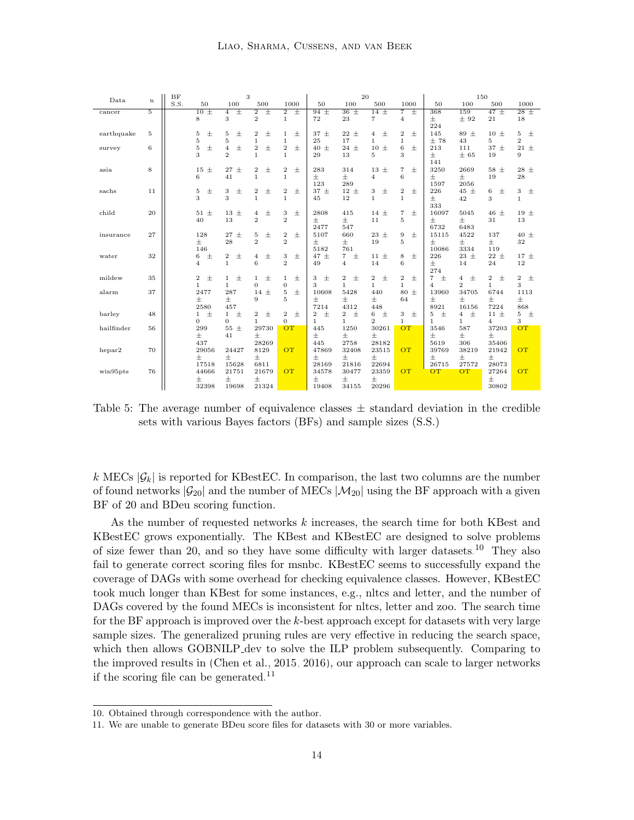|            |    | BF   |                           | 3                         |                         |                           | 20<br>150                        |                         |                         |                           |                         |                |                           |                           |
|------------|----|------|---------------------------|---------------------------|-------------------------|---------------------------|----------------------------------|-------------------------|-------------------------|---------------------------|-------------------------|----------------|---------------------------|---------------------------|
| Data       | n  | S.S. | 50                        | 100                       | 500                     | 1000                      | 50                               | 100                     | 500                     | 1000                      | 50                      | 100            | 500                       | 1000                      |
| cancer     | 5  |      | $\overline{+}$<br>10      | Ŧ<br>$\overline{4}$       | Ŧ<br>$\overline{2}$     | $\overline{2}$<br>Ŧ       | $94 +$                           | $36 \pm$                | $14 \pm$                | Ŧ<br>$\overline{7}$       | 368                     | 159            | $47 \pm$                  | $28 \pm$                  |
|            |    |      | 8                         | 3                         | $\mathbf{2}$            | $\mathbf{1}$              | 72                               | 23                      | $\overline{7}$          | $\overline{4}$            | $\pm$                   | ± 92           | 21                        | 18                        |
|            |    |      |                           |                           |                         |                           |                                  |                         |                         |                           | 224                     |                |                           |                           |
| earthquake | 5  |      | 士<br>5                    | 5<br>$\pm$                | $\boldsymbol{2}$<br>士   | $\pm$<br>$\mathbf{1}$     | 37<br>$\pm$                      | $22 \pm$                | 士<br>$\overline{4}$     | $\,2$<br>$\pm$            | 145                     | $89 \pm$       | $10 \pm$                  | 5<br>$\pm$                |
|            |    |      | $\overline{5}$            | 5                         | $\mathbf{1}$            | $\mathbf{1}$              | 25                               | 17                      | 1                       | $\mathbf{1}$              | ±78                     | 43             | 5                         | $\overline{2}$            |
| survey     | 6  |      | $\rm 5$<br>$\pm$          | $\overline{4}$<br>$\pm$   | $\overline{2}$<br>士     | $\pm$<br>$\,2\,$          | 40<br>$\pm$                      | $24 \pm$                | $10 \pm$                | $\,$ 6 $\,$<br>$\pm$      | 213                     | 111            | $37 \pm$                  | 21 $\pm$                  |
|            |    |      | 3                         | $\overline{2}$            | $\mathbf{1}$            | $\mathbf{1}$              | 29                               | 13                      | 5                       | 3                         | $\pm$                   | ± 65           | 19                        | 9                         |
|            |    |      |                           |                           |                         |                           |                                  |                         |                         |                           | 141                     |                |                           |                           |
| asia       | 8  |      | $\pm$<br>15               | $27 +$                    | $\boldsymbol{2}$<br>士   | $\pm$<br>$\boldsymbol{2}$ | 283                              | 314                     | $13 \pm$                | $\overline{7}$<br>$\pm$   | 3250                    | 2669           | $58 \pm$                  | $28 \pm$                  |
|            |    |      | 6                         | 41                        | $\mathbf{1}$            | $\mathbf{1}$              | $\pm$                            | Ŧ                       | $\overline{4}$          | 6                         | $\pm$                   | $\pm$          | 19                        | 28                        |
|            |    |      |                           |                           |                         |                           | 123                              | 289                     |                         |                           | 1597                    | 2056           |                           |                           |
| sachs      | 11 |      | $\pm$<br>5                | 3<br>$\pm$                | $\overline{2}$<br>$\pm$ | $\pm$<br>$\,2\,$          | $37 \pm$                         | $12 \pm$                | $\pm$<br>3              | $\pm$<br>$\,2$            | 226                     | $45 \pm$       | $\pm$<br>6                | 3<br>$\pm$                |
|            |    |      | 3                         | 3                         | $\mathbf{1}$            | $\mathbf{1}$              | 45                               | 12                      | $\mathbf{1}$            | $\mathbf{1}$              | $\pm$                   | 42             | 3                         | $\mathbf{1}$              |
|            |    |      |                           |                           |                         |                           |                                  |                         |                         |                           | 333                     |                |                           |                           |
| child      | 20 |      | 51<br>$\pm$               | $13 \pm$                  | 士<br>4                  | $\pm$<br>3                | 2808                             | 415                     | $14 \pm$                | $+$<br>$\overline{7}$     | 16097                   | 5045           | 46 $\pm$                  | $19 \pm$                  |
|            |    |      | 40                        | 13                        | $\overline{2}$          | $\overline{2}$            | $\pm$                            | Ŧ                       | 11                      | $\overline{5}$            | 士                       | $\pm$          | 31                        | 13                        |
|            |    |      |                           |                           |                         |                           | 2477                             | 547                     |                         |                           | 6732                    | 6483           |                           |                           |
| insurance  | 27 |      | 128                       | $27 \pm$                  | 5<br>$\pm$              | $\boldsymbol{2}$<br>$\pm$ | 5107                             | 660                     | $23 \pm$                | $\boldsymbol{9}$<br>$\pm$ | 15115                   | 4522           | 137                       | $40~\pm$                  |
|            |    |      | 士                         | 28                        | $\overline{2}$          | $\overline{2}$            | 士                                | 士                       | 19                      | 5                         | 士                       | 士              | $\pm$                     | 32                        |
|            |    |      | 146                       |                           |                         |                           | 5182                             | 761                     |                         |                           | 10086                   | 3334           | 119                       |                           |
| water      | 32 |      | $\,$ 6 $\,$<br>$\pm$      | $\boldsymbol{2}$<br>$\pm$ | 4<br>士                  | $\pm$<br>3                | $47 \pm$                         | $\overline{7}$<br>$\pm$ | $11 \pm$                | 8<br>$\pm$                | 226                     | $23 \pm$       | $22 \pm$                  | $17 \pm$                  |
|            |    |      | $\overline{4}$            | $\mathbf{1}$              | 6                       | $\overline{2}$            | 49                               | $\overline{4}$          | 14                      | 6                         | $\pm$                   | 14             | 24                        | 12                        |
|            |    |      |                           |                           |                         |                           |                                  |                         |                         |                           | 274                     |                |                           |                           |
| mildew     | 35 |      | $\boldsymbol{2}$<br>$\pm$ | $\mathbf{1}$<br>士         | 士<br>$\mathbf{1}$       | $\pm$<br>$\mathbf{1}$     | $\pm$<br>3                       | 2<br>$\pm$              | $\overline{2}$<br>$\pm$ | $\boldsymbol{2}$<br>$\pm$ | $\pm$<br>$\overline{7}$ | 士<br>4         | $\boldsymbol{2}$<br>$\pm$ | $\boldsymbol{2}$<br>$\pm$ |
|            |    |      | 1                         | $\mathbf{1}$              | $\overline{0}$          | $\overline{0}$            | 3                                | 1                       | 1                       | $\mathbf{1}$              | $\overline{4}$          | $\overline{2}$ | $\mathbf{1}$              | 3                         |
| alarm      | 37 |      | 2477                      | 287                       | $\pm$<br>14             | 士<br>5                    | 10608                            | 5428                    | 440                     | $80 \pm$                  | 13960                   | 34705          | 6744                      | 1113                      |
|            |    |      | 士                         | $\pm$                     | 9                       | $\overline{5}$            | $\pm$                            | 士                       | $\pm$                   | 64                        | $\pm$                   | $\pm$          | $\pm$                     | 士                         |
|            |    |      | 2580                      | 457                       |                         |                           | 7214                             | 4312                    | 448                     |                           | 8921                    | 16156          | 7224                      | 868                       |
| barley     | 48 |      | $\pm$<br>1                | $\pm$<br>$\mathbf{1}$     | $\overline{2}$<br>$\pm$ | $\mathbf{2}$<br>$\pm$     | $\overline{\mathbf{2}}$<br>$\pm$ | $\overline{2}$<br>$\pm$ | $\pm$<br>6              | 3<br>$\pm$                | $\pm$<br>5              | $\pm$<br>4     | $11 \pm$                  | 5<br>土                    |
|            |    |      | $\mathbf{0}$              | $\mathbf{0}$              | $\mathbf{1}$            | $\overline{0}$            | 1.                               | 1                       | $\overline{2}$          | $\mathbf{1}$              | 1                       | $\mathbf{1}$   | 4                         | 3                         |
| hailfinder | 56 |      | 299                       | $55 \pm$                  | 29730                   | <b>OT</b>                 | 445                              | 1250                    | 30261                   | <b>OT</b>                 | 3546                    | 587            | 37203                     | OT                        |
|            |    |      | $\pm$                     | 41                        | $\pm$                   |                           | $\pm$                            | Ŧ                       | 士                       |                           | $\pm$                   | $\pm$          | $\pm$                     |                           |
|            |    |      | 437                       |                           | 28269                   |                           | 445                              | 2758                    | 28182                   |                           | 5619                    | 306            | 35406                     |                           |
| hepar2     | 70 |      | 29056                     | 24427                     | 8129                    | OT                        | 47869                            | 32408                   | 23515                   | OT                        | 39769                   | 38219          | 21942                     | <b>OT</b>                 |
|            |    |      | 士                         | $\pm$                     | $\pm$                   |                           | $\pm$                            | 士                       | 士                       |                           | 士                       | 士              | $\pm$                     |                           |
|            |    |      | 17518                     | 15628                     | 6811                    |                           | 28169                            | 21816                   | 22694                   |                           | 26715                   | 27572          | 28073                     |                           |
| win95pts   | 76 |      | 44666                     | 21751                     | 21679                   | <b>OT</b>                 | 34578                            | 30477                   | 23359                   | <b>OT</b>                 | <b>OT</b>               | OT             | 27264                     | <b>OT</b>                 |
|            |    |      | 士                         | $\pm$                     | $\pm$                   |                           | $\pm$                            | $\pm$                   | 士                       |                           |                         |                | 士                         |                           |
|            |    |      | 32398                     | 19698                     | 21324                   |                           | 19408                            | 34155                   | 20296                   |                           |                         |                | 30802                     |                           |

<span id="page-13-0"></span>Table 5: The average number of equivalence classes  $\pm$  standard deviation in the credible sets with various Bayes factors (BFs) and sample sizes (S.S.)

k MECs  $|\mathcal{G}_k|$  is reported for KBestEC. In comparison, the last two columns are the number of found networks  $|\mathcal{G}_{20}|$  and the number of MECs  $|\mathcal{M}_{20}|$  using the BF approach with a given BF of 20 and BDeu scoring function.

As the number of requested networks k increases, the search time for both KBest and KBestEC grows exponentially. The KBest and KBestEC are designed to solve problems of size fewer than 20, and so they have some difficulty with larger datasets.<sup>[10](#page-13-1)</sup> They also fail to generate correct scoring files for msnbc. KBestEC seems to successfully expand the coverage of DAGs with some overhead for checking equivalence classes. However, KBestEC took much longer than KBest for some instances, e.g., nltcs and letter, and the number of DAGs covered by the found MECs is inconsistent for nltcs, letter and zoo. The search time for the BF approach is improved over the k-best approach except for datasets with very large sample sizes. The generalized pruning rules are very effective in reducing the search space, which then allows GOBNILP dev to solve the ILP problem subsequently. Comparing to the improved results in [\(Chen et al., 2015,](#page-22-4) [2016\)](#page-22-5), our approach can scale to larger networks if the scoring file can be generated.<sup>[11](#page-13-2)</sup>

<span id="page-13-1"></span><sup>10.</sup> Obtained through correspondence with the author.

<span id="page-13-2"></span><sup>11.</sup> We are unable to generate BDeu score files for datasets with 30 or more variables.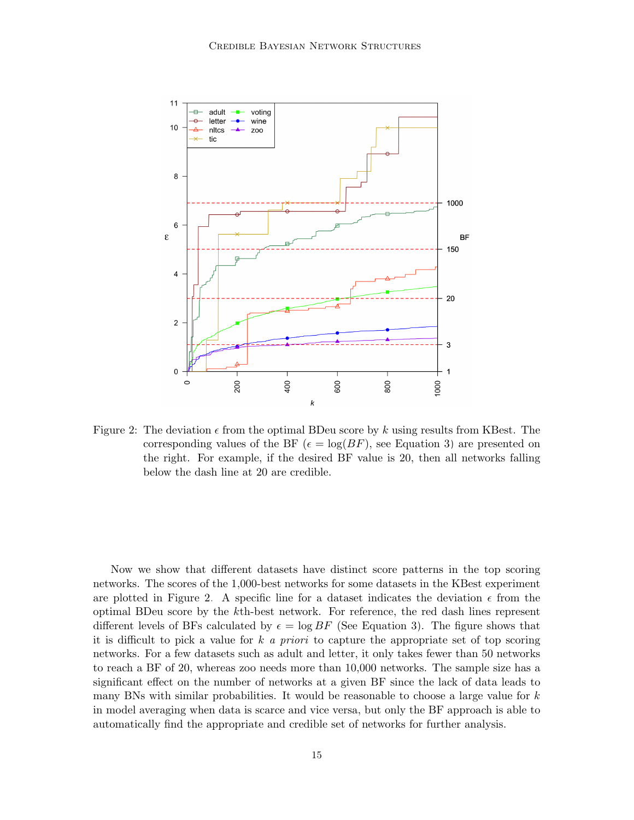

<span id="page-14-0"></span>Figure 2: The deviation  $\epsilon$  from the optimal BDeu score by k using results from KBest. The corresponding values of the BF ( $\epsilon = \log(BF)$ , see Equation [3\)](#page-6-5) are presented on the right. For example, if the desired BF value is 20, then all networks falling below the dash line at 20 are credible.

Now we show that different datasets have distinct score patterns in the top scoring networks. The scores of the 1,000-best networks for some datasets in the KBest experiment are plotted in Figure [2.](#page-14-0) A specific line for a dataset indicates the deviation  $\epsilon$  from the optimal BDeu score by the kth-best network. For reference, the red dash lines represent different levels of BFs calculated by  $\epsilon = \log BF$  (See Equation [3\)](#page-6-5). The figure shows that it is difficult to pick a value for k a priori to capture the appropriate set of top scoring networks. For a few datasets such as adult and letter, it only takes fewer than 50 networks to reach a BF of 20, whereas zoo needs more than 10,000 networks. The sample size has a significant effect on the number of networks at a given BF since the lack of data leads to many BNs with similar probabilities. It would be reasonable to choose a large value for  $k$ in model averaging when data is scarce and vice versa, but only the BF approach is able to automatically find the appropriate and credible set of networks for further analysis.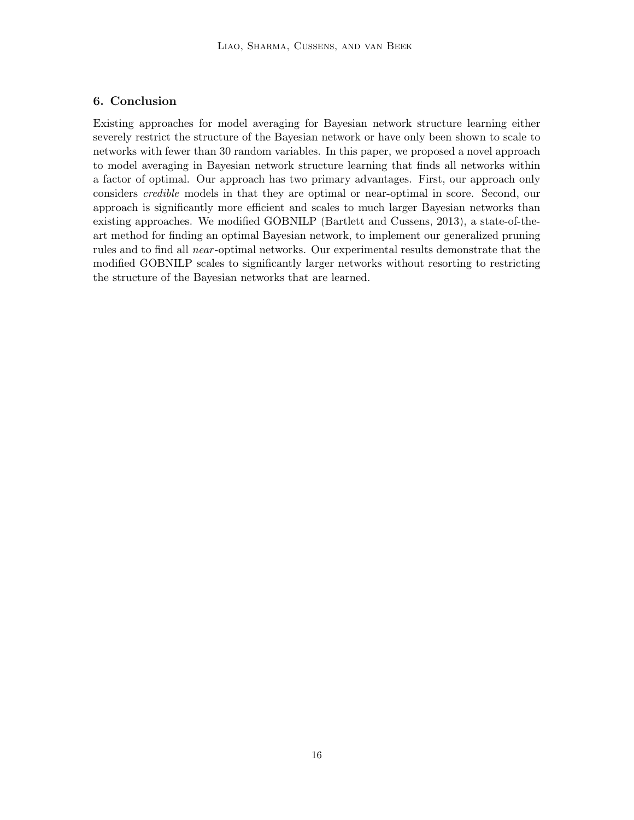## 6. Conclusion

Existing approaches for model averaging for Bayesian network structure learning either severely restrict the structure of the Bayesian network or have only been shown to scale to networks with fewer than 30 random variables. In this paper, we proposed a novel approach to model averaging in Bayesian network structure learning that finds all networks within a factor of optimal. Our approach has two primary advantages. First, our approach only considers credible models in that they are optimal or near-optimal in score. Second, our approach is significantly more efficient and scales to much larger Bayesian networks than existing approaches. We modified GOBNILP [\(Bartlett and Cussens, 2013\)](#page-21-1), a state-of-theart method for finding an optimal Bayesian network, to implement our generalized pruning rules and to find all *near*-optimal networks. Our experimental results demonstrate that the modified GOBNILP scales to significantly larger networks without resorting to restricting the structure of the Bayesian networks that are learned.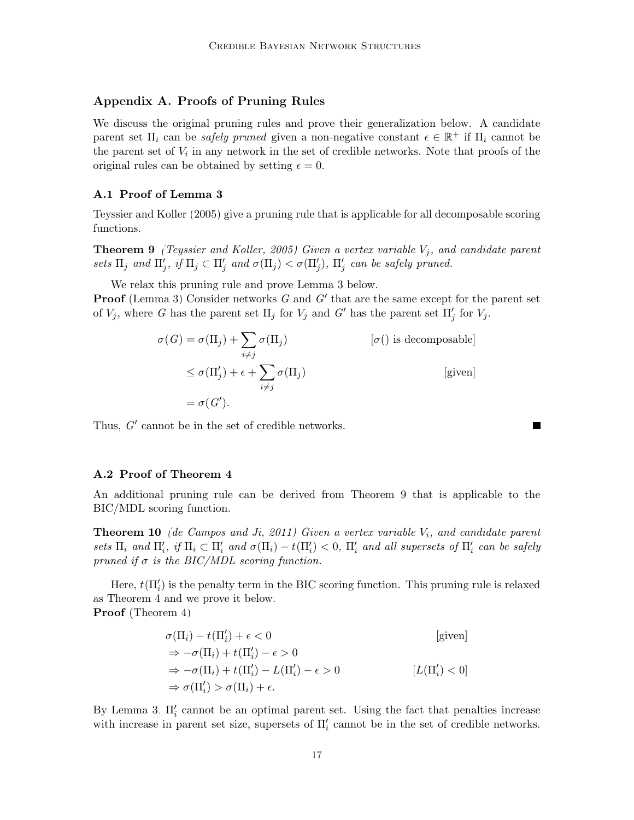## Appendix A. Proofs of Pruning Rules

We discuss the original pruning rules and prove their generalization below. A candidate parent set  $\Pi_i$  can be *safely pruned* given a non-negative constant  $\epsilon \in \mathbb{R}^+$  if  $\Pi_i$  cannot be the parent set of  $V_i$  in any network in the set of credible networks. Note that proofs of the original rules can be obtained by setting  $\epsilon = 0$ .

### A.1 Proof of Lemma [3](#page-6-3)

<span id="page-16-0"></span>[Teyssier and Koller \(2005\)](#page-23-13) give a pruning rule that is applicable for all decomposable scoring functions.

**Theorem 9** [\(Teyssier and Koller, 2005\)](#page-23-13) Given a vertex variable  $V_j$ , and candidate parent sets  $\Pi_j$  and  $\Pi'_j$ , if  $\Pi_j \subset \Pi'_j$  and  $\sigma(\Pi_j) < \sigma(\Pi'_j)$ ,  $\Pi'_j$  can be safely pruned.

We relax this pruning rule and prove Lemma [3](#page-6-3) below.

**Proof** (Lemma [3\)](#page-6-3) Consider networks  $G$  and  $G'$  that are the same except for the parent set of  $V_j$ , where G has the parent set  $\Pi_j$  for  $V_j$  and G' has the parent set  $\Pi'_j$  for  $V_j$ .

$$
\sigma(G) = \sigma(\Pi_j) + \sum_{i \neq j} \sigma(\Pi_j)
$$
 [ $\sigma$ () is decomposable]  
\n
$$
\leq \sigma(\Pi'_j) + \epsilon + \sum_{i \neq j} \sigma(\Pi_j)
$$
 [given]  
\n
$$
= \sigma(G').
$$

 $\blacksquare$ 

Thus,  $G'$  cannot be in the set of credible networks.

#### A.2 Proof of Theorem [4](#page-6-4)

An additional pruning rule can be derived from Theorem [9](#page-16-0) that is applicable to the BIC/MDL scoring function.

**Theorem 10** [\(de Campos and Ji, 2011\)](#page-22-8) Given a vertex variable  $V_i$ , and candidate parent sets  $\Pi_i$  and  $\Pi'_i$ , if  $\Pi_i \subset \Pi'_i$  and  $\sigma(\Pi_i) - t(\Pi'_i) < 0$ ,  $\Pi'_i$  and all supersets of  $\Pi'_i$  can be safely pruned if  $\sigma$  is the BIC/MDL scoring function.

Here,  $t(\Pi'_i)$  is the penalty term in the BIC scoring function. This pruning rule is relaxed as Theorem [4](#page-6-4) and we prove it below. Proof (Theorem [4\)](#page-6-4)

$$
\sigma(\Pi_i) - t(\Pi'_i) + \epsilon < 0 \quad \text{[given]}
$$
\n
$$
\Rightarrow -\sigma(\Pi_i) + t(\Pi'_i) - \epsilon > 0 \quad \text{[given]}
$$
\n
$$
\Rightarrow -\sigma(\Pi_i) + t(\Pi'_i) - L(\Pi'_i) - \epsilon > 0 \quad \text{[L(\Pi'_i) < 0]}
$$
\n
$$
\Rightarrow \sigma(\Pi'_i) > \sigma(\Pi_i) + \epsilon.
$$

By Lemma [3,](#page-6-3)  $\Pi_i$  cannot be an optimal parent set. Using the fact that penalties increase with increase in parent set size, supersets of  $\Pi_i'$  cannot be in the set of credible networks.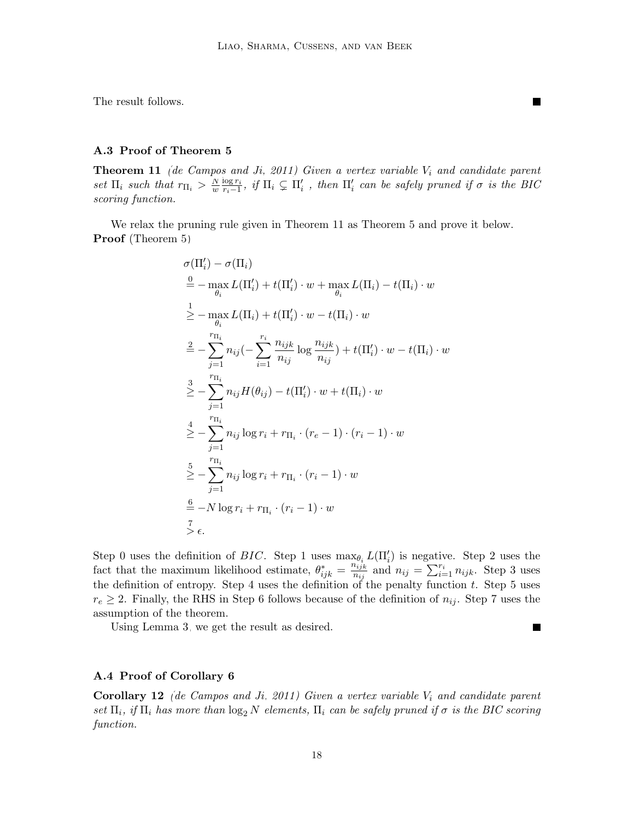П

 $\blacksquare$ 

The result follows.

#### A.3 Proof of Theorem [5](#page-6-0)

<span id="page-17-0"></span>**Theorem 11** [\(de Campos and Ji, 2011\)](#page-22-8) Given a vertex variable  $V_i$  and candidate parent set  $\Pi_i$  such that  $r_{\Pi_i} > \frac{N}{w}$  $\frac{N}{w} \frac{\log r_i}{r_i - 1}$  $\frac{\log r_i}{r_i-1}$ , if  $\Pi_i \subsetneq \Pi'_i$ , then  $\Pi'_i$  can be safely pruned if  $\sigma$  is the BIC scoring function.

We relax the pruning rule given in Theorem [11](#page-17-0) as Theorem [5](#page-6-0) and prove it below. Proof (Theorem [5\)](#page-6-0)

$$
\sigma(\Pi'_{i}) - \sigma(\Pi_{i})
$$
\n
$$
\stackrel{0}{=} - \max_{\theta_{i}} L(\Pi'_{i}) + t(\Pi'_{i}) \cdot w + \max_{\theta_{i}} L(\Pi_{i}) - t(\Pi_{i}) \cdot w
$$
\n
$$
\geq - \max_{\theta_{i}} L(\Pi_{i}) + t(\Pi'_{i}) \cdot w - t(\Pi_{i}) \cdot w
$$
\n
$$
\stackrel{?}{=} - \sum_{j=1}^{r_{\Pi_{i}}} n_{ij} \left( - \sum_{i=1}^{r_{i}} \frac{n_{ijk}}{n_{ij}} \log \frac{n_{ijk}}{n_{ij}} \right) + t(\Pi'_{i}) \cdot w - t(\Pi_{i}) \cdot w
$$
\n
$$
\stackrel{?}{=} - \sum_{j=1}^{r_{\Pi_{i}}} n_{ij} H(\theta_{ij}) - t(\Pi'_{i}) \cdot w + t(\Pi_{i}) \cdot w
$$
\n
$$
\stackrel{?}{=} - \sum_{j=1}^{r_{\Pi_{i}}} n_{ij} \log r_{i} + r_{\Pi_{i}} \cdot (r_{e} - 1) \cdot (r_{i} - 1) \cdot w
$$
\n
$$
\stackrel{?}{=} - \sum_{j=1}^{r_{\Pi_{i}}} n_{ij} \log r_{i} + r_{\Pi_{i}} \cdot (r_{i} - 1) \cdot w
$$
\n
$$
\stackrel{=}{=} -N \log r_{i} + r_{\Pi_{i}} \cdot (r_{i} - 1) \cdot w
$$
\n
$$
\stackrel{?}{=} \epsilon.
$$

Step 0 uses the definition of BIC. Step 1 uses  $\max_{\theta_i} L(\Pi'_i)$  is negative. Step 2 uses the fact that the maximum likelihood estimate,  $\theta_{ijk}^* = \frac{n_{ijk}^{*}}{n_{ij}}$  $\frac{n_{ijk}}{n_{ij}}$  and  $n_{ij} = \sum_{i=1}^{r_i} n_{ijk}$ . Step 3 uses the definition of entropy. Step 4 uses the definition of the penalty function  $t$ . Step 5 uses  $r_e \geq 2$ . Finally, the RHS in Step 6 follows because of the definition of  $n_{ij}$ . Step 7 uses the assumption of the theorem.

Using Lemma [3,](#page-6-3) we get the result as desired.

#### A.4 Proof of Corollary [6](#page-6-1)

<span id="page-17-1"></span>**Corollary 12** [\(de Campos and Ji, 2011\)](#page-22-8) Given a vertex variable  $V_i$  and candidate parent set  $\Pi_i$ , if  $\Pi_i$  has more than  $\log_2 N$  elements,  $\Pi_i$  can be safely pruned if  $\sigma$  is the BIC scoring function.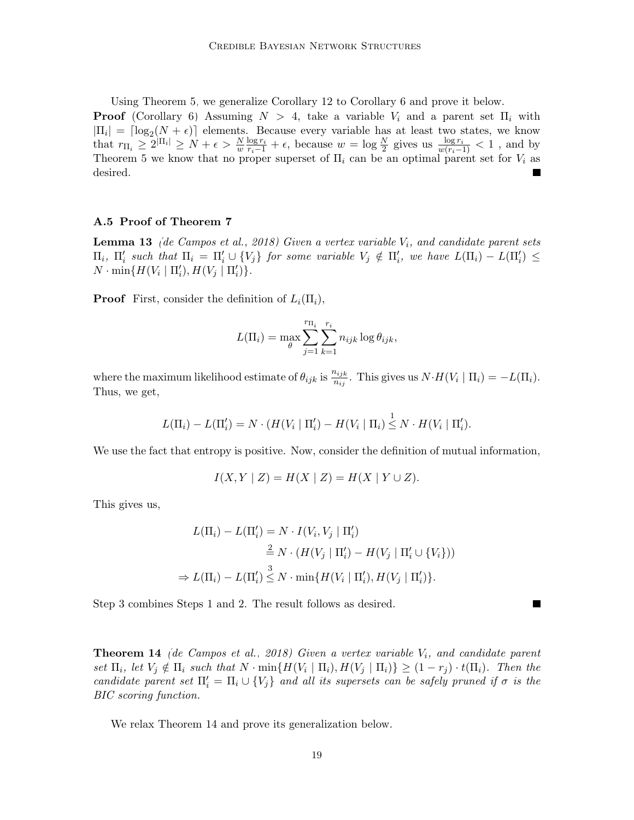Using Theorem [5,](#page-6-0) we generalize Corollary [12](#page-17-1) to Corollary [6](#page-6-1) and prove it below.

**Proof** (Corollary [6\)](#page-6-1) Assuming  $N > 4$ , take a variable  $V_i$  and a parent set  $\Pi_i$  with  $|\Pi_i| = \lceil \log_2(N + \epsilon) \rceil$  elements. Because every variable has at least two states, we know that  $r_{\Pi_i} \geq 2^{\vert \Pi_i \vert} \geq N + \epsilon > \frac{N}{w} \frac{\log r_i}{r_i - 1} + \epsilon$ , because  $w = \log \frac{N}{2}$  gives us  $\frac{\log r_i}{w(r_i - 1)} < 1$ , and by Theorem [5](#page-6-0) we know that no proper superset of  $\Pi_i$  can be an optimal parent set for  $V_i$  as desired. ш

### A.5 Proof of Theorem [7](#page-7-1)

<span id="page-18-1"></span>**Lemma 13** [\(de Campos et al., 2018\)](#page-22-9) Given a vertex variable  $V_i$ , and candidate parent sets  $\Pi_i$ ,  $\Pi'_i$  such that  $\Pi_i = \Pi'_i \cup \{V_j\}$  for some variable  $V_j \notin \Pi'_i$ , we have  $L(\Pi_i) - L(\Pi'_i) \le$  $N \cdot \min\{H(V_i \mid \Pi'_i), H(V_j \mid \Pi'_i)\}.$ 

**Proof** First, consider the definition of  $L_i(\Pi_i)$ ,

$$
L(\Pi_i) = \max_{\theta} \sum_{j=1}^{r_{\Pi_i}} \sum_{k=1}^{r_i} n_{ijk} \log \theta_{ijk},
$$

where the maximum likelihood estimate of  $\theta_{ijk}$  is  $\frac{n_{ijk}}{n_{ij}}$ . This gives us  $N \cdot H(V_i \mid \Pi_i) = -L(\Pi_i)$ . Thus, we get,

$$
L(\Pi_i)-L(\Pi'_i)=N\cdot (H(V_i\mid \Pi'_i)-H(V_i\mid \Pi_i)\stackrel{1}{\leq} N\cdot H(V_i\mid \Pi'_i).
$$

We use the fact that entropy is positive. Now, consider the definition of mutual information,

$$
I(X, Y | Z) = H(X | Z) = H(X | Y \cup Z).
$$

This gives us,

$$
L(\Pi_i) - L(\Pi'_i) = N \cdot I(V_i, V_j \mid \Pi'_i)
$$
  
\n
$$
\stackrel{2}{=} N \cdot (H(V_j \mid \Pi'_i) - H(V_j \mid \Pi'_i \cup \{V_i\}))
$$
  
\n
$$
\Rightarrow L(\Pi_i) - L(\Pi'_i) \stackrel{3}{\leq} N \cdot \min\{H(V_i \mid \Pi'_i), H(V_j \mid \Pi'_i)\}.
$$

 $\blacksquare$ 

Step 3 combines Steps 1 and 2. The result follows as desired.

<span id="page-18-0"></span>**Theorem 14** [\(de Campos et al., 2018\)](#page-22-9) Given a vertex variable  $V_i$ , and candidate parent set  $\Pi_i$ , let  $V_j \notin \Pi_i$  such that  $N \cdot \min\{H(V_i \mid \Pi_i), H(V_j \mid \Pi_i)\} \geq (1 - r_j) \cdot t(\Pi_i)$ . Then the candidate parent set  $\Pi_i' = \Pi_i \cup \{V_j\}$  and all its supersets can be safely pruned if  $\sigma$  is the BIC scoring function.

We relax Theorem [14](#page-18-0) and prove its generalization below.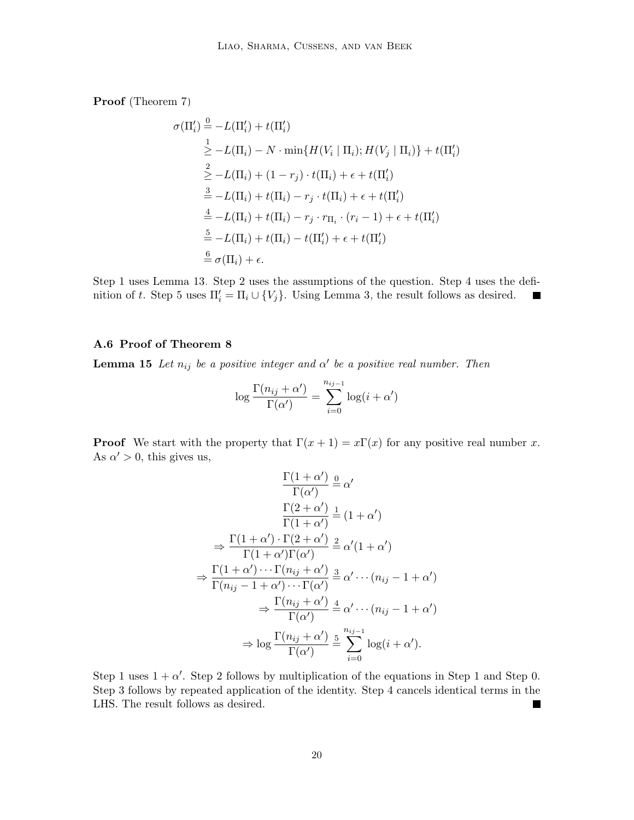Proof (Theorem [7\)](#page-7-1)

$$
\sigma(\Pi'_i) \stackrel{0}{=} -L(\Pi'_i) + t(\Pi'_i)
$$
\n
$$
\stackrel{1}{\geq} -L(\Pi_i) - N \cdot \min\{H(V_i \mid \Pi_i); H(V_j \mid \Pi_i)\} + t(\Pi'_i)
$$
\n
$$
\stackrel{2}{\geq} -L(\Pi_i) + (1 - r_j) \cdot t(\Pi_i) + \epsilon + t(\Pi'_i)
$$
\n
$$
\stackrel{3}{=} -L(\Pi_i) + t(\Pi_i) - r_j \cdot t(\Pi_i) + \epsilon + t(\Pi'_i)
$$
\n
$$
\stackrel{4}{=} -L(\Pi_i) + t(\Pi_i) - r_j \cdot r_{\Pi_i} \cdot (r_i - 1) + \epsilon + t(\Pi'_i)
$$
\n
$$
\stackrel{5}{=} -L(\Pi_i) + t(\Pi_i) - t(\Pi'_i) + \epsilon + t(\Pi'_i)
$$
\n
$$
\stackrel{6}{=} \sigma(\Pi_i) + \epsilon.
$$

Step 1 uses Lemma [13.](#page-18-1) Step 2 uses the assumptions of the question. Step 4 uses the definition of t. Step 5 uses  $\Pi_i' = \Pi_i \cup \{V_j\}$ . Using Lemma [3,](#page-6-3) the result follows as desired.  $\blacksquare$ 

### A.6 Proof of Theorem [8](#page-7-0)

<span id="page-19-0"></span>**Lemma 15** Let  $n_{ij}$  be a positive integer and  $\alpha'$  be a positive real number. Then

$$
\log \frac{\Gamma(n_{ij} + \alpha')}{\Gamma(\alpha')} = \sum_{i=0}^{n_{ij-1}} \log(i + \alpha')
$$

**Proof** We start with the property that  $\Gamma(x+1) = x\Gamma(x)$  for any positive real number x. As  $\alpha' > 0$ , this gives us,

$$
\frac{\Gamma(1+\alpha')}{\Gamma(\alpha')} \stackrel{\text{O}}{=} \alpha'
$$
\n
$$
\frac{\Gamma(2+\alpha')}{\Gamma(1+\alpha')} \stackrel{1}{=} (1+\alpha')
$$
\n
$$
\Rightarrow \frac{\Gamma(1+\alpha') \cdot \Gamma(2+\alpha')}{\Gamma(1+\alpha')\Gamma(\alpha')} \stackrel{2}{=} \alpha'(1+\alpha')
$$
\n
$$
\Rightarrow \frac{\Gamma(1+\alpha') \cdots \Gamma(n_{ij}+\alpha')}{\Gamma(n_{ij}-1+\alpha') \cdots \Gamma(\alpha')} \stackrel{3}{=} \alpha' \cdots (n_{ij}-1+\alpha')
$$
\n
$$
\Rightarrow \frac{\Gamma(n_{ij}+\alpha')}{\Gamma(\alpha')} \stackrel{4}{=} \alpha' \cdots (n_{ij}-1+\alpha')
$$
\n
$$
\Rightarrow \log \frac{\Gamma(n_{ij}+\alpha')}{\Gamma(\alpha')} \stackrel{5}{=} \sum_{i=0}^{n_{ij-1}} \log(i+\alpha').
$$

<span id="page-19-1"></span>Step 1 uses  $1 + \alpha'$ . Step 2 follows by multiplication of the equations in Step 1 and Step 0. Step 3 follows by repeated application of the identity. Step 4 cancels identical terms in the LHS. The result follows as desired.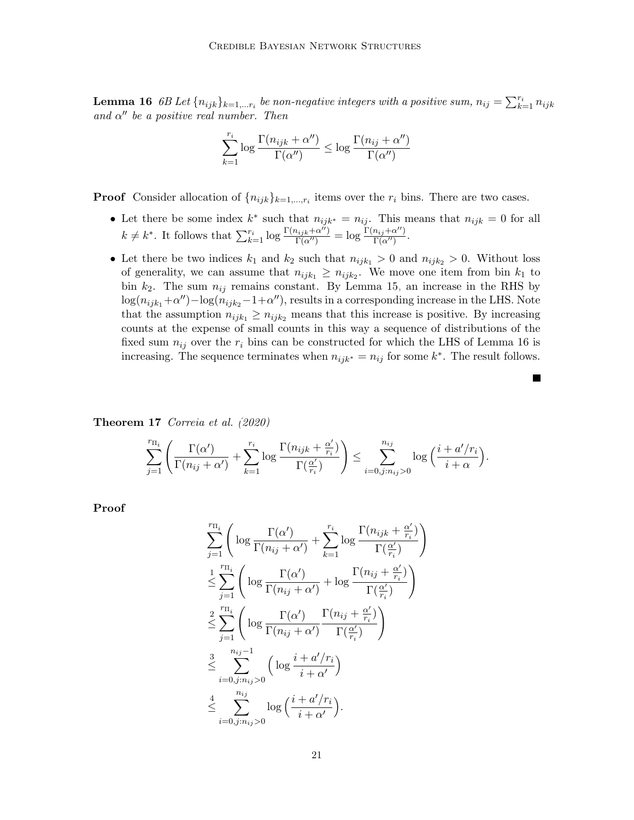**Lemma 16** 6B Let  $\{n_{ijk}\}_{k=1,...r_i}$  be non-negative integers with a positive sum,  $n_{ij} = \sum_{k=1}^{r_i} n_{ijk}$ and  $\alpha''$  be a positive real number. Then

$$
\sum_{k=1}^{r_i} \log \frac{\Gamma(n_{ijk} + \alpha'')}{\Gamma(\alpha'')} \le \log \frac{\Gamma(n_{ij} + \alpha'')}{\Gamma(\alpha'')}
$$

**Proof** Consider allocation of  $\{n_{ijk}\}_{k=1,\dots,r_i}$  items over the  $r_i$  bins. There are two cases.

- Let there be some index  $k^*$  such that  $n_{ijk^*} = n_{ij}$ . This means that  $n_{ijk} = 0$  for all  $k \neq k^*$ . It follows that  $\sum_{k=1}^{r_i} \log \frac{\Gamma(n_{ijk} + \alpha^{ij})}{\Gamma(\alpha^{ij})} = \log \frac{\Gamma(n_{ij} + \alpha^{ij})}{\Gamma(\alpha^{ij})}$  $\frac{n_{ij}+\alpha}{\Gamma(\alpha'')}$ .
- Let there be two indices  $k_1$  and  $k_2$  such that  $n_{ijk_1} > 0$  and  $n_{ijk_2} > 0$ . Without loss of generality, we can assume that  $n_{ijk_1} \geq n_{ijk_2}$ . We move one item from bin  $k_1$  to bin  $k_2$ . The sum  $n_{ij}$  remains constant. By Lemma [15,](#page-19-0) an increase in the RHS by  $\log(n_{ijk_1} + \alpha'') - \log(n_{ijk_2} - 1 + \alpha'')$ , results in a corresponding increase in the LHS. Note that the assumption  $n_{ijk_1} \geq n_{ijk_2}$  means that this increase is positive. By increasing counts at the expense of small counts in this way a sequence of distributions of the fixed sum  $n_{ij}$  over the  $r_i$  bins can be constructed for which the LHS of Lemma [16](#page-19-1) is increasing. The sequence terminates when  $n_{ijk^*} = n_{ij}$  for some  $k^*$ . The result follows.

<span id="page-20-0"></span>Theorem 17 [Correia et al.](#page-22-10) [\(2020\)](#page-22-10)

$$
\sum_{j=1}^{r_{\Pi_i}} \left( \frac{\Gamma(\alpha')}{\Gamma(n_{ij} + \alpha')} + \sum_{k=1}^{r_i} \log \frac{\Gamma(n_{ijk} + \frac{\alpha'}{r_i})}{\Gamma(\frac{\alpha'}{r_i})} \right) \leq \sum_{i=0, j:n_{ij} > 0}^{n_{ij}} \log \left( \frac{i + a'/r_i}{i + \alpha} \right).
$$

Proof

$$
\sum_{j=1}^{r_{\Pi_i}} \left( \log \frac{\Gamma(\alpha')}{\Gamma(n_{ij} + \alpha')} + \sum_{k=1}^{r_i} \log \frac{\Gamma(n_{ijk} + \frac{\alpha'}{r_i})}{\Gamma(\frac{\alpha'}{r_i})} \right)
$$
\n
$$
\leq \sum_{j=1}^{r_{\Pi_i}} \left( \log \frac{\Gamma(\alpha')}{\Gamma(n_{ij} + \alpha')} + \log \frac{\Gamma(n_{ij} + \frac{\alpha'}{r_i})}{\Gamma(\frac{\alpha'}{r_i})} \right)
$$
\n
$$
\leq \sum_{j=1}^{r_{\Pi_i}} \left( \log \frac{\Gamma(\alpha')}{\Gamma(n_{ij} + \alpha')} \frac{\Gamma(n_{ij} + \frac{\alpha'}{r_i})}{\Gamma(\frac{\alpha'}{r_i})} \right)
$$
\n
$$
\leq \sum_{i=0, j: n_{ij} > 0}^{n_{ij} - 1} \left( \log \frac{i + a'/r_i}{i + \alpha'} \right)
$$
\n
$$
\leq \sum_{i=0, j: n_{ij} > 0}^{n_{ij}} \log \left( \frac{i + a'/r_i}{i + \alpha'} \right).
$$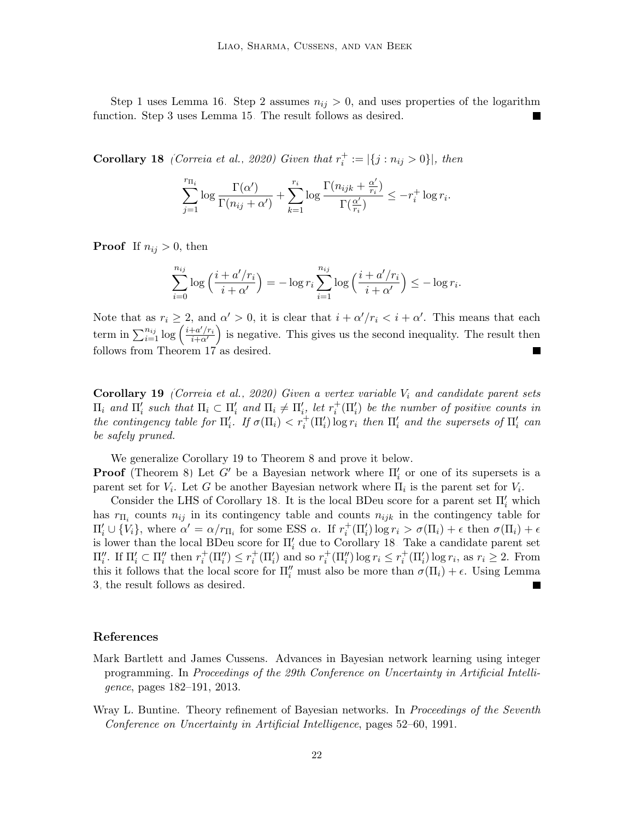Step 1 uses Lemma [16.](#page-19-1) Step 2 assumes  $n_{ij} > 0$ , and uses properties of the logarithm function. Step 3 uses Lemma [15.](#page-19-0) The result follows as desired.

<span id="page-21-3"></span>**Corollary 18** [\(Correia et al., 2020\)](#page-22-10) Given that  $r_i^+ := |\{j : n_{ij} > 0\}|$ , then

$$
\sum_{j=1}^{r_{\Pi_i}} \log \frac{\Gamma(\alpha')}{\Gamma(n_{ij} + \alpha')} + \sum_{k=1}^{r_i} \log \frac{\Gamma(n_{ijk} + \frac{\alpha'}{r_i})}{\Gamma(\frac{\alpha'}{r_i})} \le -r_i^+ \log r_i.
$$

**Proof** If  $n_{ij} > 0$ , then

$$
\sum_{i=0}^{n_{ij}} \log\left(\frac{i+a'/r_i}{i+\alpha'}\right) = -\log r_i \sum_{i=1}^{n_{ij}} \log\left(\frac{i+a'/r_i}{i+\alpha'}\right) \leq -\log r_i.
$$

Note that as  $r_i \geq 2$ , and  $\alpha' > 0$ , it is clear that  $i + \alpha'/r_i < i + \alpha'$ . This means that each term in  $\sum_{i=1}^{n_{ij}} \log \left( \frac{i+a'/r_i}{i+\alpha'} \right)$  $\frac{+a'/r_i}{i+a'}$  is negative. This gives us the second inequality. The result then follows from Theorem [17](#page-20-0)<sup>'</sup> as desired.

<span id="page-21-2"></span>**Corollary 19** [\(Correia et al., 2020\)](#page-22-10) Given a vertex variable  $V_i$  and candidate parent sets  $\Pi_i$  and  $\Pi'_i$  such that  $\Pi_i \subset \Pi'_i$  and  $\Pi_i \neq \Pi'_i$ , let  $r_i^+(\Pi'_i)$  be the number of positive counts in the contingency table for  $\Pi'_i$ . If  $\sigma(\Pi_i) < r_i^+(\Pi'_i)$  log  $r_i$  then  $\Pi'_i$  and the supersets of  $\Pi'_i$  can be safely pruned.

We generalize Corollary [19](#page-21-2) to Theorem [8](#page-7-0) and prove it below.

**Proof** (Theorem [8\)](#page-7-0) Let G' be a Bayesian network where  $\Pi'_{i}$  or one of its supersets is a parent set for  $V_i$ . Let G be another Bayesian network where  $\Pi_i$  is the parent set for  $V_i$ .

Consider the LHS of Corollary [18.](#page-21-3) It is the local BDeu score for a parent set  $\Pi_i'$  which has  $r_{\Pi_i}$  counts  $n_{ij}$  in its contingency table and counts  $n_{ijk}$  in the contingency table for  $\Pi'_i \cup \{V_i\}$ , where  $\alpha' = \alpha/r_{\Pi_i}$  for some ESS  $\alpha$ . If  $r_i^+(\Pi'_i) \log r_i > \sigma(\Pi_i) + \epsilon$  then  $\sigma(\Pi_i) + \epsilon$ is lower than the local BDeu score for  $\Pi_i'$  due to Corollary [18.](#page-21-3) Take a candidate parent set  $\Pi''_i$ . If  $\Pi'_i \subset \Pi''_i$  then  $r_i^+(\Pi''_i) \leq r_i^+(\Pi''_i)$  and so  $r_i^+(\Pi''_i) \log r_i \leq r_i^+(\Pi'_i) \log r_i$ , as  $r_i \geq 2$ . From this it follows that the local score for  $\Pi''_i$  must also be more than  $\sigma(\Pi_i) + \epsilon$ . Using Lemma [3,](#page-6-3) the result follows as desired.

#### References

- <span id="page-21-1"></span>Mark Bartlett and James Cussens. Advances in Bayesian network learning using integer programming. In Proceedings of the 29th Conference on Uncertainty in Artificial Intelligence, pages 182–191, 2013.
- <span id="page-21-0"></span>Wray L. Buntine. Theory refinement of Bayesian networks. In *Proceedings of the Seventh* Conference on Uncertainty in Artificial Intelligence, pages 52–60, 1991.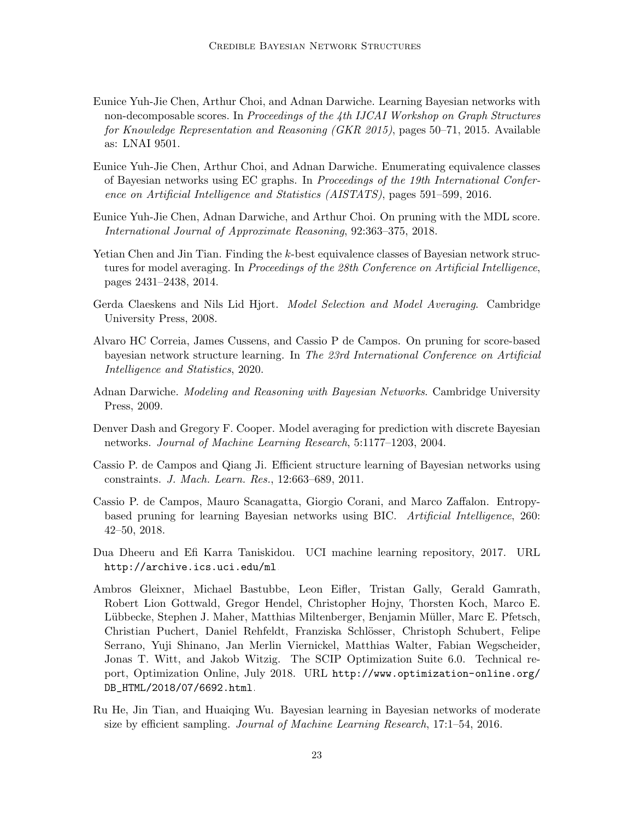- <span id="page-22-4"></span>Eunice Yuh-Jie Chen, Arthur Choi, and Adnan Darwiche. Learning Bayesian networks with non-decomposable scores. In Proceedings of the 4th IJCAI Workshop on Graph Structures for Knowledge Representation and Reasoning (GKR 2015), pages 50–71, 2015. Available as: LNAI 9501.
- <span id="page-22-5"></span>Eunice Yuh-Jie Chen, Arthur Choi, and Adnan Darwiche. Enumerating equivalence classes of Bayesian networks using EC graphs. In Proceedings of the 19th International Conference on Artificial Intelligence and Statistics (AISTATS), pages 591–599, 2016.
- <span id="page-22-6"></span>Eunice Yuh-Jie Chen, Adnan Darwiche, and Arthur Choi. On pruning with the MDL score. International Journal of Approximate Reasoning, 92:363–375, 2018.
- <span id="page-22-7"></span>Yetian Chen and Jin Tian. Finding the k-best equivalence classes of Bayesian network structures for model averaging. In Proceedings of the 28th Conference on Artificial Intelligence, pages 2431–2438, 2014.
- <span id="page-22-1"></span>Gerda Claeskens and Nils Lid Hjort. Model Selection and Model Averaging. Cambridge University Press, 2008.
- <span id="page-22-10"></span>Alvaro HC Correia, James Cussens, and Cassio P de Campos. On pruning for score-based bayesian network structure learning. In The 23rd International Conference on Artificial Intelligence and Statistics, 2020.
- <span id="page-22-0"></span>Adnan Darwiche. Modeling and Reasoning with Bayesian Networks. Cambridge University Press, 2009.
- <span id="page-22-3"></span>Denver Dash and Gregory F. Cooper. Model averaging for prediction with discrete Bayesian networks. Journal of Machine Learning Research, 5:1177–1203, 2004.
- <span id="page-22-8"></span>Cassio P. de Campos and Qiang Ji. Efficient structure learning of Bayesian networks using constraints. J. Mach. Learn. Res., 12:663–689, 2011.
- <span id="page-22-9"></span>Cassio P. de Campos, Mauro Scanagatta, Giorgio Corani, and Marco Zaffalon. Entropybased pruning for learning Bayesian networks using BIC. Artificial Intelligence, 260: 42–50, 2018.
- <span id="page-22-11"></span>Dua Dheeru and Efi Karra Taniskidou. UCI machine learning repository, 2017. URL <http://archive.ics.uci.edu/ml>.
- <span id="page-22-12"></span>Ambros Gleixner, Michael Bastubbe, Leon Eifler, Tristan Gally, Gerald Gamrath, Robert Lion Gottwald, Gregor Hendel, Christopher Hojny, Thorsten Koch, Marco E. Lübbecke, Stephen J. Maher, Matthias Miltenberger, Benjamin Müller, Marc E. Pfetsch, Christian Puchert, Daniel Rehfeldt, Franziska Schl¨osser, Christoph Schubert, Felipe Serrano, Yuji Shinano, Jan Merlin Viernickel, Matthias Walter, Fabian Wegscheider, Jonas T. Witt, and Jakob Witzig. The SCIP Optimization Suite 6.0. Technical report, Optimization Online, July 2018. URL [http://www.optimization-online.org/](http://www.optimization-online.org/DB_HTML/2018/07/6692.html) [DB\\_HTML/2018/07/6692.html](http://www.optimization-online.org/DB_HTML/2018/07/6692.html).
- <span id="page-22-2"></span>Ru He, Jin Tian, and Huaiqing Wu. Bayesian learning in Bayesian networks of moderate size by efficient sampling. Journal of Machine Learning Research, 17:1–54, 2016.